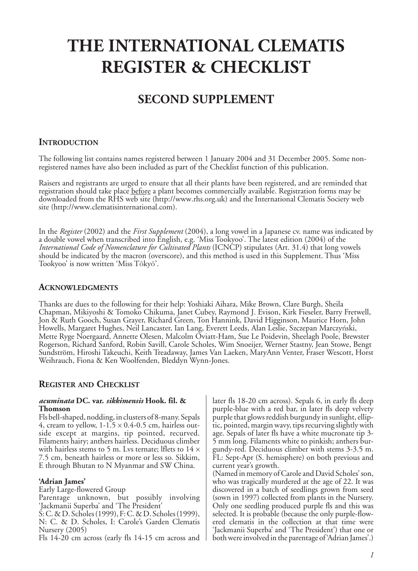# **THE INTERNATIONAL CLEMATIS REGISTER & CHECKLIST**

## **SECOND SUPPLEMENT**

## **INTRODUCTION**

The following list contains names registered between 1 January 2004 and 31 December 2005. Some nonregistered names have also been included as part of the Checklist function of this publication.

Raisers and registrants are urged to ensure that all their plants have been registered, and are reminded that registration should take place **before** a plant becomes commercially available. Registration forms may be downloaded from the RHS web site (http://www.rhs.org.uk) and the International Clematis Society web site (http://www.clematisinternational.com).

In the *Register* (2002) and the *First Supplement* (2004), a long vowel in a Japanese cv. name was indicated by a double vowel when transcribed into English, e.g. 'Miss Tookyoo'. The latest edition (2004) of the *International Code of Nomenclature for Cultivated Plants* (ICNCP) stipulates (Art. 31.4) that long vowels should be indicated by the macron (overscore), and this method is used in this Supplement. Thus 'Miss Tookyoo' is now written 'Miss Tōkyō'.

#### **ACKNOWLEDGMENTS**

Thanks are dues to the following for their help: Yoshiaki Aihara, Mike Brown, Clare Burgh, Sheila Chapman, Mikiyoshi & Tomoko Chikuma, Janet Cubey, Raymond J. Evison, Kirk Fieseler, Barry Fretwell, Jon & Ruth Gooch, Susan Grayer, Richard Green, Ton Hannink, David Higginson, Maurice Horn, John Howells, Margaret Hughes, Neil Lancaster, Ian Lang, Everett Leeds, Alan Leslie, Szczepan Marczyński, Mette Ryge Noergaard, Annette Olesen, Malcolm Oviatt-Ham, Sue Le Poidevin, Sheelagh Poole, Brewster Rogerson, Richard Sanford, Robin Savill, Carole Scholes, Wim Snoeijer, Werner Stastny, Jean Stowe, Bengt Sundström, Hiroshi Takeuchi, Keith Treadaway, James Van Laeken, MaryAnn Venter, Fraser Wescott, Horst Weihrauch, Fiona & Ken Woolfenden, Bleddyn Wynn-Jones.

## **REGISTER AND CHECKLIST**

#### *acuminata* **DC. var.** *sikkimensis* **Hook. fil. & Thomson**

Fls bell-shaped, nodding, in clusters of 8-many. Sepals 4, cream to yellow,  $1-1.5 \times 0.4-0.5$  cm, hairless outside except at margins, tip pointed, recurved. Filaments hairy; anthers hairless. Deciduous climber with hairless stems to 5 m. Lvs ternate; lflets to  $14 \times$ 7.5 cm, beneath hairless or more or less so. Sikkim, E through Bhutan to N Myanmar and SW China.

#### **'Adrian James'**

Early Large-flowered Group Parentage unknown, but possibly involving 'Jackmanii Superba' and 'The President' S: C. & D. Scholes (1999), F: C. & D. Scholes (1999), N: C. & D. Scholes, I: Carole's Garden Clematis Nursery (2005) Fls 14-20 cm across (early fls 14-15 cm across and later fls 18-20 cm across). Sepals 6, in early fls deep purple-blue with a red bar, in later fls deep velvety purple that glows reddish burgundy in sunlight, elliptic, pointed, margin wavy, tips recurving slightly with age. Sepals of later fls have a white mucronate tip 3- 5 mm long. Filaments white to pinkish; anthers burgundy-red. Deciduous climber with stems 3-3.5 m. FL: Sept-Apr (S. hemisphere) on both previous and current year's growth.

(Named in memory of Carole and David Scholes' son, who was tragically murdered at the age of 22. It was discovered in a batch of seedlings grown from seed (sown in 1997) collected from plants in the Nursery. Only one seedling produced purple fls and this was selected. It is probable (because the only purple-flowered clematis in the collection at that time were 'Jackmanii Superba' and 'The President') that one or both were involved in the parentage of 'Adrian James'.)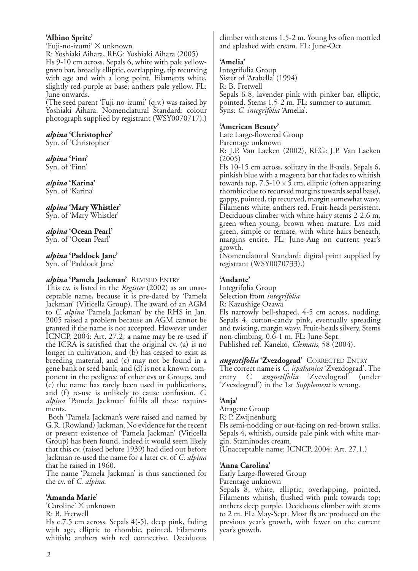#### **'Albino Sprite'**

'Fuji-no-izumi' X unknown R: Yoshiaki Aihara, REG: Yoshiaki Aihara (2005) Fls 9-10 cm across. Sepals 6, white with pale yellowgreen bar, broadly elliptic, overlapping, tip recurving with age and with a long point. Filaments white, slightly red-purple at base; anthers pale yellow. FL: June onwards.

(The seed parent 'Fuji-no-izumi' (q.v.) was raised by Yoshiaki Aihara. Nomenclatural Standard: colour photograph supplied by registrant (WSY0070717).)

## *alpina* **'Christopher'**

Syn. of 'Christopher'

## *alpina* **'Finn'**

Syn. of 'Finn'

#### *alpina* **'Karina'** Syn. of 'Karina'

#### *alpina* **'Mary Whistler'** Syn. of 'Mary Whistler'

*alpina* **'Ocean Pearl'**

## Syn. of 'Ocean Pearl'

## *alpina* **'Paddock Jane'**

Syn. of 'Paddock Jane'

## *alpina* **'Pamela Jackman'** REVISED ENTRY

This cv. is listed in the *Register* (2002) as an unacceptable name, because it is pre-dated by 'Pamela Jackman' (Viticella Group). The award of an AGM to *C. alpina* 'Pamela Jackman' by the RHS in Jan. 2005 raised a problem because an AGM cannot be granted if the name is not accepted. However under ICNCP, 2004: Art. 27.2, a name may be re-used if the ICRA is satisfied that the original cv. (a) is no longer in cultivation, and (b) has ceased to exist as breeding material, and (c) may not be found in a gene bank or seed bank, and (d) is not a known component in the pedigree of other cvs or Groups, and (e) the name has rarely been used in publications, and (f) re-use is unlikely to cause confusion. *C. alpina* 'Pamela Jackman' fulfils all these requirements.

Both 'Pamela Jackman's were raised and named by G.R. (Rowland) Jackman. No evidence for the recent or present existence of 'Pamela Jackman' (Viticella Group) has been found, indeed it would seem likely that this cv. (raised before 1939) had died out before Jackman re-used the name for a later cv. of *C. alpina* that he raised in 1960.

The name 'Pamela Jackman' is thus sanctioned for the cv. of *C. alpina*.

#### **'Amanda Marie'**

'Caroline' X unknown R: B. Fretwell

Fls c.7.5 cm across. Sepals 4(-5), deep pink, fading with age, elliptic to rhombic, pointed. Filaments whitish; anthers with red connective. Deciduous climber with stems 1.5-2 m. Young lvs often mottled and splashed with cream. FL: June-Oct.

## **'Amelia'**

Integrifolia Group Sister of 'Arabella' (1994) R: B. Fretwell Sepals 6-8, lavender-pink with pinker bar, elliptic, pointed. Stems 1.5-2 m. FL: summer to autumn. Syns: *C. integrifolia* 'Amelia'.

## **'American Beauty'**

Late Large-flowered Group Parentage unknown

R: J.P. Van Laeken (2002), REG: J.P. Van Laeken (2005)

Fls 10-15 cm across, solitary in the lf-axils. Sepals 6, pinkish blue with a magenta bar that fades to whitish towards top,  $7.5\n-10 \times 5$  cm, elliptic (often appearing rhombic due to recurved margins towards sepal base), gappy, pointed, tip recurved, margin somewhat wavy. Filaments white; anthers red. Fruit-heads persistent. Deciduous climber with white-hairy stems 2-2.6 m, green when young, brown when mature. Lvs mid green, simple or ternate, with white hairs beneath, margins entire. FL: June-Aug on current year's growth.

(Nomenclatural Standard: digital print supplied by registrant (WSY0070733).)

## **'Andante'**

Integrifolia Group Selection from *integrifolia* R: Kazushige Ozawa Fls narrowly bell-shaped, 4-5 cm across, nodding. Sepals 4, cotton-candy pink, eventually spreading and twisting, margin wavy. Fruit-heads silvery. Stems non-climbing, 0.6-1 m. FL: June-Sept. Published ref. Kaneko, *Clematis*, 58 (2004).

*angustifolia* **'Zvezdograd'** CORRECTED ENTRY The correct name is *C. ispahanica* 'Zvezdograd'. The entry *C. angustifolia* 'Zvevdograd' (under 'Zvezdograd') in the 1st *Supplement* is wrong.

## **'Anja'**

Atragene Group R: P. Zwijnenburg Fls semi-nodding or out-facing on red-brown stalks. Sepals 4, whitish, outside pale pink with white margin. Staminodes cream. (Unacceptable name: ICNCP, 2004: Art. 27.1.)

## **'Anna Carolina'**

Early Large-flowered Group Parentage unknown

Sepals 8, white, elliptic, overlapping, pointed. Filaments whitish, flushed with pink towards top; anthers deep purple. Deciduous climber with stems to 2 m. FL: May-Sept. Most fls are produced on the previous year's growth, with fewer on the current year's growth.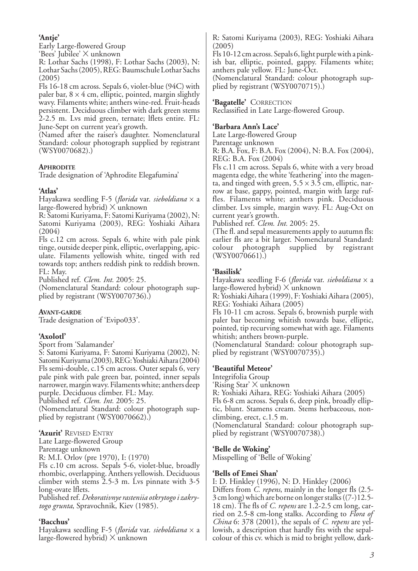## **'Antje'**

Early Large-flowered Group 'Bees' Jubilee' X unknown

R: Lothar Sachs (1998), F: Lothar Sachs (2003), N: Lothar Sachs (2005), REG: Baumschule Lothar Sachs (2005)

Fls 16-18 cm across. Sepals 6, violet-blue (94C) with paler bar,  $8 \times 4$  cm, elliptic, pointed, margin slightly wavy. Filaments white; anthers wine-red. Fruit-heads persistent. Deciduous climber with dark green stems 2-2.5 m. Lvs mid green, ternate; lflets entire. FL: June-Sept on current year's growth.

(Named after the raiser's daughter. Nomenclatural Standard: colour photograph supplied by registrant (WSY0070682).)

### **APHRODITE**

Trade designation of 'Aphrodite Elegafumina'

### **'Atlas'**

Hayakawa seedling F-5 (*florida* var. *sieboldiana* x a large-flowered hybrid) X unknown

R: Satomi Kuriyama, F: Satomi Kuriyama (2002), N: Satomi Kuriyama (2003), REG: Yoshiaki Aihara (2004)

Fls c.12 cm across. Sepals 6, white with pale pink tinge, outside deeper pink, elliptic, overlapping, apiculate. Filaments yellowish white, tinged with red towards top; anthers reddish pink to reddish brown. FL: May.

Published ref. *Clem. Int.* 2005: 25.

(Nomenclatural Standard: colour photograph supplied by registrant (WSY0070736).)

#### **AVANT-GARDE**

Trade designation of 'Evipo033'.

## **'Axolotl'**

Sport from 'Salamander'

S: Satomi Kuriyama, F: Satomi Kuriyama (2002), N: Satomi Kuriyama (2003), REG: Yoshiaki Aihara (2004) Fls semi-double, c.15 cm across. Outer sepals 6, very pale pink with pale green bar, pointed, inner sepals narrower, margin wavy. Filaments white; anthers deep purple. Deciduous climber. FL: May. Published ref. *Clem. Int.* 2005: 25.

(Nomenclatural Standard: colour photograph supplied by registrant (WSY0070662).)

#### **'Azurit'** REVISED ENTRY

Late Large-flowered Group

Parentage unknown

R: M.I. Orlov (pre 1970), I: (1970)

Fls c.10 cm across. Sepals 5-6, violet-blue, broadly rhombic, overlapping. Anthers yellowish. Deciduous climber with stems 2.5-3 m. Lvs pinnate with 3-5 long-ovate lflets.

Published ref. *Dekorativnye rasteniia otkrytogo i zakrytogo grunta*, Spravochnik, Kiev (1985).

## **'Bacchus'**

Hayakawa seedling F-5 (*florida* var. *sieboldiana* <sup>x</sup><sup>a</sup> large-flowered hybrid) <sup>X</sup>unknown

R: Satomi Kuriyama (2003), REG: Yoshiaki Aihara (2005)

Fls 10-12 cm across. Sepals 6, light purple with a pinkish bar, elliptic, pointed, gappy. Filaments white; anthers pale yellow. FL: June-Oct.

(Nomenclatural Standard: colour photograph supplied by registrant (WSY0070715).)

**'Bagatelle'** CORRECTION

Reclassified in Late Large-flowered Group.

#### **'Barbara Ann's Lace'**

Late Large-flowered Group

Parentage unknown

R: B.A. Fox, F: B.A. Fox (2004), N: B.A. Fox (2004), REG: B.A. Fox (2004)

Fls c.11 cm across. Sepals 6, white with a very broad magenta edge, the white 'feathering' into the magenta, and tinged with green,  $5.5 \times 3.5$  cm, elliptic, narrow at base, gappy, pointed, margin with large ruffles. Filaments white; anthers pink. Deciduous climber. Lvs simple, margin wavy. FL: Aug-Oct on current year's growth.

Published ref. *Clem. Int.* 2005: 25.

(The fl. and sepal measurements apply to autumn fls: earlier fls are a bit larger. Nomenclatural Standard: colour photograph supplied by registrant (WSY0070661).)

### **'Basilisk'**

Hayakawa seedling F-6 (*florida* var. *sieboldiana* x a large-flowered hybrid) X unknown

R: Yoshiaki Aihara (1999), F: Yoshiaki Aihara (2005), REG: Yoshiaki Aihara (2005)

Fls 10-11 cm across. Sepals 6, brownish purple with paler bar becoming whitish towards base, elliptic, pointed, tip recurving somewhat with age. Filaments whitish; anthers brown-purple.

(Nomenclatural Standard: colour photograph supplied by registrant (WSY0070735).)

#### **'Beautiful Meteor'**

Integrifolia Group

'Rising Star' X unknown

R: Yoshiaki Aihara, REG: Yoshiaki Aihara (2005)

Fls 6-8 cm across. Sepals 6, deep pink, broadly elliptic, blunt. Stamens cream. Stems herbaceous, nonclimbing, erect, c.1.5 m.

(Nomenclatural Standard: colour photograph supplied by registrant (WSY0070738).)

#### **'Belle de Woking'**

Misspelling of 'Belle of Woking'

#### **'Bells of Emei Shan'**

I: D. Hinkley (1996), N: D. Hinkley (2006) Differs from *C. repens*, mainly in the longer fls (2.5- 3 cm long) which are borne on longer stalks ((7-)12.5- 18 cm). The fls of *C. repens* are 1.2-2.5 cm long, carried on 2.5-8 cm-long stalks. According to *Flora of China* 6: 378 (2001), the sepals of *C. repens* are yellowish, a description that hardly fits with the sepalcolour of this cv. which is mid to bright yellow, dark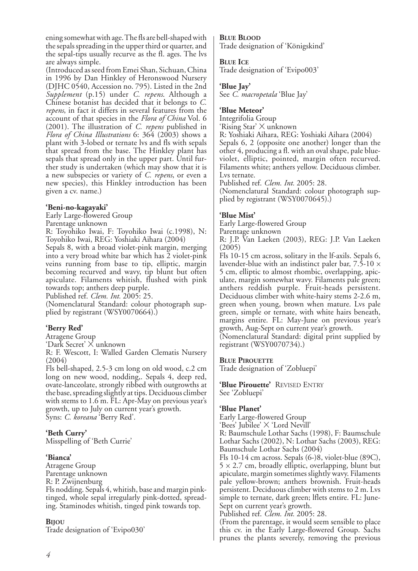ening somewhat with age. The fls are bell-shaped with the sepals spreading in the upper third or quarter, and the sepal-tips usually recurve as the fl. ages. The lvs are always simple.

(Introduced as seed from Emei Shan, Sichuan, China in 1996 by Dan Hinkley of Heronswood Nursery (DJHC 0540, Accession no. 795). Listed in the 2nd *Supplement* (p.15) under *C. repens*. Although a Chinese botanist has decided that it belongs to *C. repens*, in fact it differs in several features from the account of that species in the *Flora of China* Vol. 6 (2001). The illustration of *C. repens* published in *Flora of China Illustrations* 6: 364 (2003) shows a plant with 3-lobed or ternate lvs and fls with sepals that spread from the base. The Hinkley plant has sepals that spread only in the upper part. Until further study is undertaken (which may show that it is a new subspecies or variety of *C. repens*, or even a new species), this Hinkley introduction has been given a cv. name.)

#### **'Beni-no-kagayaki'**

Early Large-flowered Group

Parentage unknown

R: Toyohiko Iwai, F: Toyohiko Iwai (c.1998), N: Toyohiko Iwai, REG: Yoshiaki Aihara (2004)

Sepals 8, with a broad violet-pink margin, merging into a very broad white bar which has  $\tilde{2}$  violet-pink veins running from base to tip, elliptic, margin becoming recurved and wavy, tip blunt but often apiculate. Filaments whitish, flushed with pink towards top; anthers deep purple.

Published ref. *Clem. Int.* 2005: 25.

(Nomenclatural Standard: colour photograph supplied by registrant (WSY0070664).)

#### **'Berry Red'**

Atragene Group

'Dark Secret' X unknown

R: F. Wescott, I: Walled Garden Clematis Nursery (2004)

Fls bell-shaped, 2.5-3 cm long on old wood, c.2 cm long on new wood, nodding,. Sepals 4, deep red, ovate-lanceolate, strongly ribbed with outgrowths at the base, spreading slightly at tips. Deciduous climber with stems to 1.6 m. FL: Apr-May on previous year's growth, up to July on current year's growth. Syns: *C. koreana* 'Berry Red'.

#### **'Beth Curry'**

Misspelling of 'Beth Currie'

#### **'Bianca'**

Atragene Group Parentage unknown R: P. Zwijnenburg Fls nodding. Sepals 4, whitish, base and margin pinktinged, whole sepal irregularly pink-dotted, spreading. Staminodes whitish, tinged pink towards top.

#### **BIJOU**

Trade designation of 'Evipo030'

#### **BLUE BLOOD**

Trade designation of 'Königskind'

#### **BLUE ICE**

Trade designation of 'Evipo003'

#### **'Blue Jay'**

See *C. macropetala* 'Blue Jay'

#### **'Blue Meteor'**

Integrifolia Group

'Rising Star' X unknown

R: Yoshiaki Aihara, REG: Yoshiaki Aihara (2004) Sepals 6, 2 (opposite one another) longer than the other 4, producing a fl. with an oval shape, pale blueviolet, elliptic, pointed, margin often recurved. Filaments white; anthers yellow. Deciduous climber. Lvs ternate.

Published ref. *Clem. Int.* 2005: 28.

(Nomenclatural Standard: colour photograph supplied by registrant (WSY0070645).)

#### **'Blue Mist'**

Early Large-flowered Group

Parentage unknown R: J.P. Van Laeken (2003), REG: J.P. Van Laeken

(2005)

Fls 10-15 cm across, solitary in the lf-axils. Sepals 6, lavender-blue with an indistinct paler bar,  $7.\overline{5}$ -10  $\times$ 5 cm, elliptic to almost rhombic, overlapping, apiculate, margin somewhat wavy. Filaments pale green; anthers reddish purple. Fruit-heads persistent. Deciduous climber with white-hairy stems 2-2.6 m, green when young, brown when mature. Lvs pale green, simple or ternate, with white hairs beneath, margins entire. FL: May-June on previous year's growth, Aug-Sept on current year's growth.

(Nomenclatural Standard: digital print supplied by registrant (WSY0070734).)

#### **BLUE PIROUETTE**

Trade designation of 'Zobluepi'

**'Blue Pirouette'** REVISED ENTRY See 'Zobluepi'

#### **'Blue Planet'**

Early Large-flowered Group

'Bees' Jubilee' X 'Lord Nevill' R: Baumschule Lothar Sachs (1998), F: Baumschule

Lothar Sachs (2002), N: Lothar Sachs (2003), REG: Baumschule Lothar Sachs (2004)

Fls 10-14 cm across. Sepals (6-)8, violet-blue (89C),  $5 \times 2.7$  cm, broadly elliptic, overlapping, blunt but apiculate, margin sometimes slightly wavy. Filaments pale yellow-brown; anthers brownish. Fruit-heads persistent. Deciduous climber with stems to 2 m. Lvs simple to ternate, dark green; lflets entire. FL: June-Sept on current year's growth.

Published ref. *Clem. Int.* 2005: 28.

(From the parentage, it would seem sensible to place this cv. in the Early Large-flowered Group. Sachs prunes the plants severely, removing the previous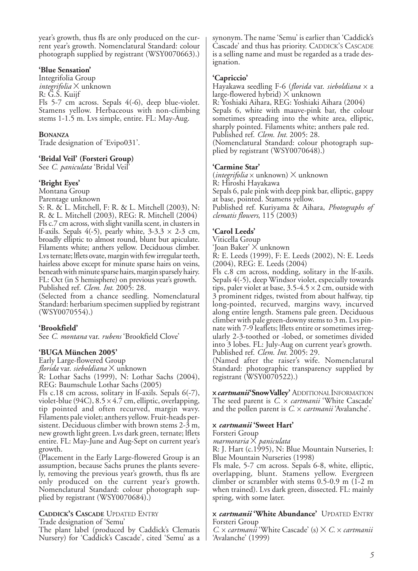year's growth, thus fls are only produced on the current year's growth. Nomenclatural Standard: colour photograph supplied by registrant (WSY0070663).)

#### **'Blue Sensation'**

Integrifolia Group *integrifolia* X unknown R: G.S. Kuijf Fls 5-7 cm across. Sepals 4(-6), deep blue-violet. Stamens yellow. Herbaceous with non-climbing stems 1-1.5 m. Lvs simple, entire. FL: May-Aug.

#### **BONANZA**

Trade designation of 'Evipo031'.

#### **'Bridal Veil' (Forsteri Group)**

See *C. paniculata* 'Bridal Veil'

#### **'Bright Eyes'**

Montana Group

Parentage unknown

S: R. & L. Mitchell, F: R. & L. Mitchell (2003), N: R. & L. Mitchell (2003), REG: R. Mitchell (2004) Fls c.7 cm across, with slight vanilla scent, in clusters in lf-axils. Sepals  $4(-5)$ , pearly white,  $3-3.3 \times 2-3$  cm, broadly elliptic to almost round, blunt but apiculate. Filaments white; anthers yellow. Deciduous climber. Lvs ternate; lflets ovate, margin with few irregular teeth, hairless above except for minute sparse hairs on veins, beneath with minute sparse hairs, margin sparsely hairy. FL: Oct (in S hemisphere) on previous year's growth. Published ref. *Clem. Int.* 2005: 28.

(Selected from a chance seedling. Nomenclatural Standard: herbarium specimen supplied by registrant (WSY0070554).)

#### **'Brookfield'**

See *C. montana* var. *rubens* 'Brookfield Clove'

#### **'BUGA München 2005'**

Early Large-flowered Group *florida* var. *sieboldiana* X unknown R: Lothar Sachs (1999), N: Lothar Sachs (2004), REG: Baumschule Lothar Sachs (2005)

Fls c.18 cm across, solitary in lf-axils. Sepals 6(-7), violet-blue (94C),  $8.5 \times 4.7$  cm, elliptic, overlapping, tip pointed and often recurved, margin wavy. Filaments pale violet; anthers yellow. Fruit-heads persistent. Deciduous climber with brown stems 2-3 m, new growth light green. Lvs dark green, ternate; lflets entire. FL: May-June and Aug-Sept on current year's growth.

(Placement in the Early Large-flowered Group is an assumption, because Sachs prunes the plants severely, removing the previous year's growth, thus fls are only produced on the current year's growth. Nomenclatural Standard: colour photograph supplied by registrant (WSY0070684).)

#### **CADDICK'S CASCADE** UPDATED ENTRY Trade designation of 'Semu'

The plant label (produced by Caddick's Clematis Nursery) for 'Caddick's Cascade', cited 'Semu' as a synonym. The name 'Semu' is earlier than 'Caddick's Cascade' and thus has priority. CADDICK'S CASCADE is a selling name and must be regarded as a trade designation.

#### **'Capriccio'**

Hayakawa seedling F-6 (*florida* var. *sieboldiana* x a large-flowered hybrid)  $\times$  unknown

R: Yoshiaki Aihara, REG: Yoshiaki Aihara (2004) Sepals 6, white with mauve-pink bar, the colour sometimes spreading into the white area, elliptic, sharply pointed. Filaments white; anthers pale red. Published ref. *Clem. Int.* 2005: 28. (Nomenclatural Standard: colour photograph supplied by registrant (WSY0070648).)

#### **'Carmine Star'**

(*integrifolia* x unknown) X unknown R: Hiroshi Hayakawa Sepals 6, pale pink with deep pink bar, elliptic, gappy at base, pointed. Stamens yellow. Published ref. Kuriyama & Aihara, *Photographs of clematis flowers*, 115 (2003)

#### **'Carol Leeds'**

Viticella Group

'Joan Baker' X unknown

R: E. Leeds (1999), F: E. Leeds (2002), N: E. Leeds (2004), REG: E. Leeds (2004)

Fls c.8 cm across, nodding, solitary in the lf-axils. Sepals 4(-5), deep Windsor violet, especially towards tips, paler violet at base,  $3.5-4.5 \times 2$  cm, outside with 3 prominent ridges, twisted from about halfway, tip long-pointed, recurved, margins wavy, incurved along entire length. Stamens pale green. Deciduous climber with pale green-downy stems to 3 m. Lvs pinnate with 7-9 leaflets; lflets entire or sometimes irregularly 2-3-toothed or -lobed, or sometimes divided into 3 lobes. FL: July-Aug on current year's growth. Published ref. *Clem. Int.* 2005: 29.

(Named after the raiser's wife. Nomenclatural Standard: photographic transparency supplied by registrant (WSY0070522).)

x *cartmanii***'Snow Valley'** ADDITIONALINFORMATION The seed parent is *C.* x *cartmanii* 'White Cascade' and the pollen parent is *C.* x *cartmanii* 'Avalanche'.

#### x *cartmanii* **'Sweet Hart'**

Forsteri Group

*marmoraria* X *paniculata*

R: J. Hart (c.1995), N: Blue Mountain Nurseries, I: Blue Mountain Nurseries (1998)

Fls male, 5-7 cm across. Sepals 6-8, white, elliptic, overlapping, blunt. Stamens yellow. Evergreen climber or scrambler with stems 0.5-0.9 m (1-2 m when trained). Lvs dark green, dissected. FL: mainly spring, with some later.

#### x *cartmanii* **'White Abundance'** UPDATED ENTRY Forsteri Group

*C.* x *cartmanii* 'White Cascade' (s) X *C.* x *cartmanii* 'Avalanche' (1999)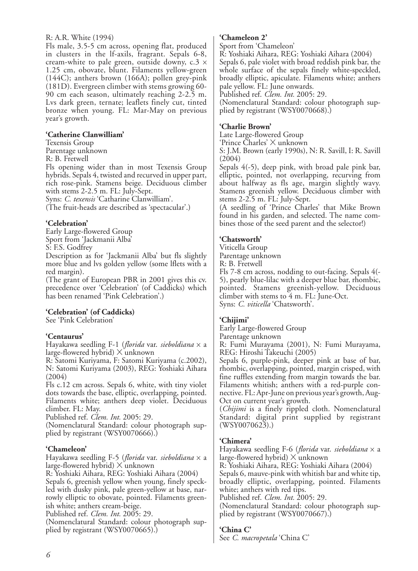#### R: A.R. White (1994)

Fls male, 3.5-5 cm across, opening flat, produced in clusters in the lf-axils, fragrant. Sepals 6-8, cream-white to pale green, outside downy,  $c.3 \times$ 1.25 cm, obovate, blunt. Filaments yellow-green (144C); anthers brown (166A); pollen grey-pink (181D). Evergreen climber with stems growing 60- 90 cm each season, ultimately reaching 2-2.5 m. Lvs dark green, ternate; leaflets finely cut, tinted bronze when young. FL: Mar-May on previous year's growth.

#### **'Catherine Clanwilliam'**

Texensis Group

Parentage unknown

R: B. Fretwell

Fls opening wider than in most Texensis Group hybrids. Sepals 4, twisted and recurved in upper part, rich rose-pink. Stamens beige. Deciduous climber with stems 2-2.5 m. FL: July-Sept.

Syns: *C. texensis* 'Catharine Clanwilliam'.

(The fruit-heads are described as 'spectacular'.)

### **'Celebration'**

Early Large-flowered Group Sport from 'Jackmanii Alba' S: F.S. Godfrey

Description as for 'Jackmanii Alba' but fls slightly more blue and lvs golden yellow (some lflets with a red margin).

(The grant of European PBR in 2001 gives this cv. precedence over 'Celebration' (of Caddicks) which has been renamed 'Pink Celebration'.)

## **'Celebration' (of Caddicks)**

See 'Pink Celebration'

#### **'Centaurus'**

Hayakawa seedling F-1 (*florida* var. *sieboldiana* x a large-flowered hybrid)  $\times$  unknown

R: Satomi Kuriyama, F: Satomi Kuriyama (c.2002), N: Satomi Kuriyama (2003), REG: Yoshiaki Aihara (2004)

Fls c.12 cm across. Sepals 6, white, with tiny violet dots towards the base, elliptic, overlapping, pointed. Filaments white; anthers deep violet. Deciduous climber. FL: May.

Published ref. *Clem. Int.* 2005: 29.

(Nomenclatural Standard: colour photograph supplied by registrant (WSY0070666).)

#### **'Chameleon'**

Hayakawa seedling F-5 (*florida* var. *sieboldiana* x a large-flowered hybrid) X unknown

R: Yoshiaki Aihara, REG: Yoshiaki Aihara (2004) Sepals 6, greenish yellow when young, finely speckled with dusky pink, pale green-yellow at base, narrowly elliptic to obovate, pointed. Filaments greenish white; anthers cream-beige.

Published ref. *Clem. Int.* 2005: 29.

(Nomenclatural Standard: colour photograph supplied by registrant (WSY0070665).)

#### **'Chameleon 2'**

Sport from 'Chameleon'

R: Yoshiaki Aihara, REG: Yoshiaki Aihara (2004) Sepals 6, pale violet with broad reddish pink bar, the whole surface of the sepals finely white-speckled, broadly elliptic, apiculate. Filaments white; anthers pale yellow. FL: June onwards.

Published ref. *Clem. Int.* 2005: 29.

(Nomenclatural Standard: colour photograph supplied by registrant (WSY0070668).)

#### **'Charlie Brown'**

Late Large-flowered Group

'Prince Charles' X unknown

S: J.M. Brown (early 1990s), N: R. Savill, I: R. Savill (2004)

Sepals 4(-5), deep pink, with broad pale pink bar, elliptic, pointed, not overlapping, recurving from about halfway as fls age, margin slightly wavy. Stamens greenish yellow. Deciduous climber with stems 2-2.5 m. FL: July-Sept.

(A seedling of 'Prince Charles' that Mike Brown found in his garden, and selected. The name combines those of the seed parent and the selector!)

## **'Chatsworth'**

Viticella Group Parentage unknown R: B. Fretwell Fls 7-8 cm across, nodding to out-facing. Sepals 4(- 5), pearly blue-lilac with a deeper blue bar, rhombic, pointed. Stamens greenish-yellow. Deciduous climber with stems to 4 m. FL: June-Oct. Syns: *C. viticella* 'Chatsworth'.

## **'Chijimi'**

Early Large-flowered Group Parentage unknown

R: Fumi Murayama (2001), N: Fumi Murayama, REG: Hiroshi Takeuchi (2005)

Sepals 6, purple-pink, deeper pink at base of bar, rhombic, overlapping, pointed, margin crisped, with fine ruffles extending from margin towards the bar. Filaments whitish; anthers with a red-purple connective. FL: Apr-June on previous year's growth, Aug-Oct on current year's growth.

(*Chijimi* is a finely rippled cloth. Nomenclatural Standard: digital print supplied by registrant  $(WSY0070623).$ 

## **'Chimera'**

Hayakawa seedling F-6 (*florida* var. *sieboldiana* x a large-flowered hybrid) X unknown R: Yoshiaki Aihara, REG: Yoshiaki Aihara (2004) Sepals 6, mauve-pink with whitish bar and white tip, broadly elliptic, overlapping, pointed. Filaments white; anthers with red tips. Published ref. *Clem. Int.* 2005: 29.

(Nomenclatural Standard: colour photograph supplied by registrant (WSY0070667).)

## **'China C'**

See *C. macropetala* 'China C'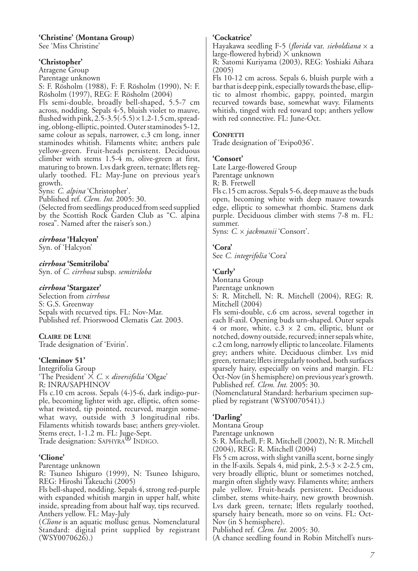## **'Christine' (Montana Group)**

See 'Miss Christine'

#### **'Christopher'**

Atragene Group

Parentage unknown

S: F. Rösholm (1988), F: F. Rösholm (1990), N: F. Rösholm (1997), REG: F. Rösholm (2004)

Fls semi-double, broadly bell-shaped, 5.5-7 cm across, nodding. Sepals 4-5, bluish violet to mauve, flushed with pink,  $2.\overline{5}$ -3.5(-5.5)  $\times$  1.2-1.5 cm, spreading, oblong-elliptic, pointed. Outer staminodes 5-12, same colour as sepals, narrower, c.3 cm long, inner staminodes whitish. Filaments white; anthers pale yellow-green. Fruit-heads persistent. Deciduous climber with stems 1.5-4 m, olive-green at first, maturing to brown. Lvs dark green, ternate; lflets regularly toothed. FL: May-June on previous year's growth.

Syns: *C. alpina* 'Christopher'.

Published ref. *Clem. Int.* 2005: 30.

(Selected from seedlings produced from seed supplied by the Scottish Rock Garden Club as "C. alpina rosea". Named after the raiser's son.)

## *cirrhosa* **'Halcyon'**

Syn. of 'Halcyon'

### *cirrhosa* **'Semitriloba'**

Syn. of *C. cirrhosa* subsp. *semitriloba*

#### *cirrhosa* **'Stargazer'**

Selection from *cirrhosa* S: G.S. Greenway Sepals with recurved tips. FL: Nov-Mar. Published ref. Priorswood Clematis *Cat*. 2003.

## **CLAIRE DE LUNE**

Trade designation of 'Evirin'.

## **'Cleminov 51'**

Integrifolia Group 'The President' X *C.* x *diversifolia* 'Olgae' R: INRA/SAPHINOV Fls c.10 cm across. Sepals (4-)5-6, dark indigo-purple, becoming lighter with age, elliptic, often somewhat twisted, tip pointed, recurved, margin somewhat wavy, outside with 3 longitudinal ribs. Filaments whitish towards base; anthers grey-violet.

Stems erect, 1-1.2 m. FL: June-Sept.

Trade designation: SAPHYRA<sup>®</sup> INDIGO.

## **'Clione'**

Parentage unknown

R: Tsuneo Ishiguro (1999), N: Tsuneo Ishiguro, REG: Hiroshi Takeuchi (2005)

Fls bell-shaped, nodding. Sepals 4, strong red-purple with expanded whitish margin in upper half, white inside, spreading from about half way, tips recurved. Anthers yellow. FL: May-July

(*Clione* is an aquatic mollusc genus. Nomenclatural Standard: digital print supplied by registrant (WSY0070626).)

#### **'Cockatrice'**

Hayakawa seedling F-5 (*florida* var. *sieboldiana* <sup>x</sup><sup>a</sup> large-flowered hybrid) <sup>X</sup>unknown

R: Satomi Kuriyama (2003), REG: Yoshiaki Aihara (2005)

Fls 10-12 cm across. Sepals 6, bluish purple with a bar that is deep pink, especially towards the base, elliptic to almost rhombic, gappy, pointed, margin recurved towards base, somewhat wavy. Filaments whitish, tinged with red toward top; anthers yellow with red connective. FL: June-Oct.

#### **CONFETTI**

Trade designation of 'Evipo036'.

#### **'Consort'**

Late Large-flowered Group Parentage unknown R: B. Fretwell

Fls c.15 cm across. Sepals 5-6, deep mauve as the buds open, becoming white with deep mauve towards edge, elliptic to somewhat rhombic. Stamens dark purple. Deciduous climber with stems 7-8 m. FL: summer.

Syns: *C.* x *jackmanii* 'Consort'.

## **'Cora'**

See *C. integrifolia* 'Cora'

## **'Curly'**

Montana Group Parentage unknown S: R. Mitchell, N: R. Mitchell (2004), REG: R. Mitchell (2004)

Fls semi-double, c.6 cm across, several together in each lf-axil. Opening buds urn-shaped. Outer sepals 4 or more, white,  $c.3 \times 2$  cm, elliptic, blunt or notched, downy outside, recurved; inner sepals white, c.2 cm long, narrowly elliptic to lanceolate. Filaments grey; anthers white. Deciduous climber. Lvs mid green, ternate; lflets irregularly toothed, both surfaces sparsely hairy, especially on veins and margin. FL: Oct-Nov (in S hemisphere) on previous year's growth. Published ref. *Clem. Int.* 2005: 30.

(Nomenclatural Standard: herbarium specimen supplied by registrant (WSY0070541).)

## **'Darling'**

Montana Group

Parentage unknown

S: R. Mitchell, F: R. Mitchell (2002), N: R. Mitchell (2004), REG: R. Mitchell (2004)

Fls 5 cm across, with slight vanilla scent, borne singly in the lf-axils. Sepals 4, mid pink,  $2.5\n-3 \times 2\n-2.5$  cm, very broadly elliptic, blunt or sometimes notched, margin often slightly wavy. Filaments white; anthers pale yellow. Fruit-heads persistent. Deciduous climber, stems white-hairy, new growth brownish. Lvs dark green, ternate; lflets regularly toothed, sparsely hairy beneath, more so on veins. FL: Oct-Nov (in S hemisphere).

Published ref. *Clem. Int.* 2005: 30.

(A chance seedling found in Robin Mitchell's nurs-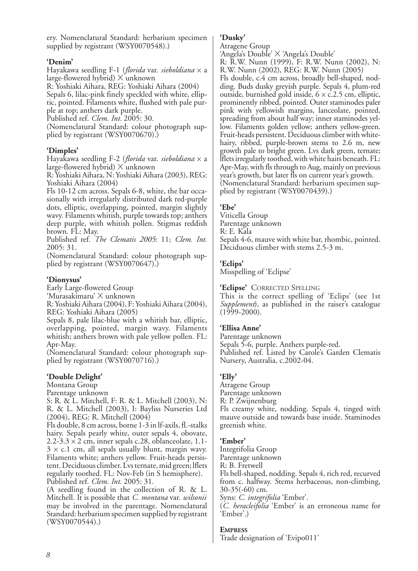ery. Nomenclatural Standard: herbarium specimen supplied by registrant (WSY0070548).)

#### **'Denim'**

Hayakawa seedling F-1 (*florida* var. *sieboldiana* x a large-flowered hybrid)  $\times$  unknown

R: Yoshiaki Aihara, REG: Yoshiaki Aihara (2004)

Sepals 6, lilac-pink finely speckled with white, elliptic, pointed. Filaments white, flushed with pale purple at top; anthers dark purple.

Published ref. *Clem. Int.* 2005: 30.

(Nomenclatural Standard: colour photograph supplied by registrant (WSY0070670).)

## **'Dimples'**

Hayakawa seedling F-2 (*florida* var. *sieboldiana* x a large-flowered hybrid)  $\times$  unknown

R: Yoshiaki Aihara, N: Yoshiaki Aihara (2003), REG: Yoshiaki Aihara (2004)

Fls 10-12 cm across. Sepals 6-8, white, the bar occasionally with irregularly distributed dark red-purple dots, elliptic, overlapping, pointed, margin slightly wavy. Filaments whitish, purple towards top; anthers deep purple, with whitish pollen. Stigmas reddish brown. FL: May.

Published ref. *The Clematis 2005*: 11; *Clem. Int.* 2005: 31.

(Nomenclatural Standard: colour photograph supplied by registrant (WSY0070647).)

## **'Dionysus'**

Early Large-flowered Group

'Murasakimaru' X unknown

R: Yoshiaki Aihara (2004), F: Yoshiaki Aihara (2004), REG: Yoshiaki Aihara (2005)

Sepals 8, pale lilac-blue with a whitish bar, elliptic, overlapping, pointed, margin wavy. Filaments whitish; anthers brown with pale yellow pollen. FL: Apr-May.

(Nomenclatural Standard: colour photograph supplied by registrant (WSY0070716).)

## **'Double Delight'**

Montana Group

Parentage unknown

S: R. & L. Mitchell, F: R. & L. Mitchell (2003), N: R. & L. Mitchell (2003), I: Bayliss Nurseries Ltd (2004), REG: R. Mitchell (2004)

Fls double, 8 cm across, borne 1-3 in lf-axils, fl.-stalks hairy. Sepals pearly white, outer sepals 4, obovate,  $2.2$ -3.3  $\times$  2 cm, inner sepals c.28, oblanceolate, 1.1- $3 \times c.1$  cm, all sepals usually blunt, margin wavy. Filaments white; anthers yellow. Fruit-heads persistent. Deciduous climber. Lvs ternate, mid green; lflets regularly toothed. FL: Nov-Feb (in S hemisphere). Published ref. *Clem. Int.* 2005: 31.

(A seedling found in the collection of R. & L. Mitchell. It is possible that *C. montana* var. *wilsonii* may be involved in the parentage. Nomenclatural Standard: herbarium specimen supplied by registrant (WSY0070544).)

## **'Dusky'**

Atragene Group

'Angela's Double' X 'Angela's Double'

R: R.W. Nunn (1999), F: R.W. Nunn (2002), N: R.W. Nunn (2002), REG: R.W. Nunn (2005)

Fls double, c.4 cm across, broadly bell-shaped, nodding. Buds dusky greyish purple. Sepals 4, plum-red outside, burnished gold inside,  $6 \times c$ . 2.5 cm, elliptic, prominently ribbed, pointed. Outer staminodes paler pink with yellowish margins, lanceolate, pointed, spreading from about half way; inner staminodes yellow. Filaments golden yellow; anthers yellow-green. Fruit-heads persistent. Deciduous climber with whitehairy, ribbed, purple-brown stems to 2.6 m, new growth pale to bright green. Lvs dark green, ternate; lflets irregularly toothed, with white hairs beneath. FL: Apr-May, with fls through to Aug, mainly on previous year's growth, but later fls on current year's growth. (Nomenclatural Standard: herbarium specimen supplied by registrant (WSY0070439).)

## **'Ebe'**

Viticella Group Parentage unknown R: E. Kala Sepals 4-6, mauve with white bar, rhombic, pointed. Deciduous climber with stems 2.5-3 m.

## **'Eclips'**

Misspelling of 'Eclipse'

**'Eclipse'** CORRECTED SPELLING

This is the correct spelling of 'Eclips' (see 1st *Supplement*), as published in the raiser's catalogue  $(1999 - 2000)$ .

## **'Ellisa Anne'**

Parentage unknown Sepals 5-6, purple. Anthers purple-red. Published ref. Listed by Carole's Garden Clematis Nursery, Australia, c.2002-04.

## **'Elly'**

Atragene Group Parentage unknown R: P. Zwijnenburg Fls creamy white, nodding. Sepals 4, tinged with mauve outside and towards base inside. Staminodes greenish white.

## **'Ember'**

Integrifolia Group Parentage unknown R: B. Fretwell Fls bell-shaped, nodding. Sepals 4, rich red, recurved from c. halfway. Stems herbaceous, non-climbing, 30-35(-60) cm. Syns: *C. integrifolia* 'Ember'.

(*C. heracleifolia* 'Ember' is an erroneous name for 'Ember'.)

## **EMPRESS**

Trade designation of 'Evipo011'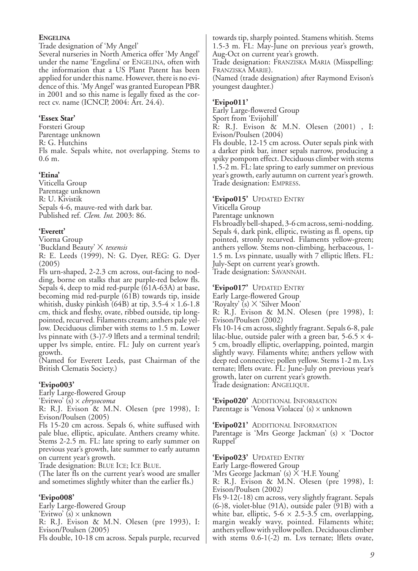#### **ENGELINA**

Trade designation of 'My Angel' Several nurseries in North America offer 'My Angel' under the name 'Engelina' or ENGELINA, often with the information that a US Plant Patent has been applied for under this name. However, there is no evidence of this. 'My Angel' was granted European PBR in 2001 and so this name is legally fixed as the correct cv. name (ICNCP, 2004: Art. 24.4).

#### **'Essex Star'**

Forsteri Group Parentage unknown R: G. Hutchins Fls male. Sepals white, not overlapping. Stems to 0.6 m.

### **'Etina'**

Viticella Group Parentage unknown R: U. Kivistik Sepals 4-6, mauve-red with dark bar. Published ref. *Clem. Int*. 2003: 86.

## **'Everett'**

Viorna Group

'Buckland Beauty' X *texensis*

R: E. Leeds (1999), N: G. Dyer, REG: G. Dyer (2005)

Fls urn-shaped, 2-2.3 cm across, out-facing to nodding, borne on stalks that are purple-red below fls. Sepals 4, deep to mid red-purple (61A-63A) at base, becoming mid red-purple (61B) towards tip, inside whitish, dusky pinkish (64B) at tip,  $3.5-4 \times 1.6-1.8$ cm, thick and fleshy, ovate, ribbed outside, tip longpointed, recurved. Filaments cream; anthers pale yellow. Deciduous climber with stems to 1.5 m. Lower lvs pinnate with (3-)7-9 lflets and a terminal tendril; upper lvs simple, entire. FL: July on current year's growth.

(Named for Everett Leeds, past Chairman of the British Clematis Society.)

## **'Evipo003'**

Early Large-flowered Group 'Evitwo' (s) x *chrysocoma*

R: R.J. Evison & M.N. Olesen (pre 1998), I: Evison/Poulsen (2005)

Fls 15-20 cm across. Sepals 6, white suffused with pale blue, elliptic, apiculate. Anthers creamy white. Stems 2-2.5 m. FL: late spring to early summer on previous year's growth, late summer to early autumn on current year's growth.

Trade designation: BLUE ICE; ICE BLUE.

(The later fls on the current year's wood are smaller and sometimes slightly whiter than the earlier fls.)

## **'Evipo008'**

Early Large-flowered Group 'Evitwo'  $(s) \times$  unknown R: R.J. Evison & M.N. Olesen (pre 1993), I: Evison/Poulsen (2005) Fls double, 10-18 cm across. Sepals purple, recurved

towards tip, sharply pointed. Stamens whitish. Stems 1.5-3 m. FL: May-June on previous year's growth, Aug-Oct on current year's growth.

Trade designation: FRANZISKA MARIA (Misspelling: FRANZISKA MARIE).

(Named (trade designation) after Raymond Evison's youngest daughter.)

### **'Evipo011'**

Early Large-flowered Group Sport from 'Evijohill' R: R.J. Evison & M.N. Olesen (2001) , I:

Evison/Poulsen (2004) Fls double, 12-15 cm across. Outer sepals pink with a darker pink bar, inner sepals narrow, producing a spiky pompom effect. Deciduous climber with stems 1.5-2 m. FL: late spring to early summer on previous year's growth, early autumn on current year's growth. Trade designation: EMPRESS.

**'Evipo015'** UPDATED ENTRY

Viticella Group

Parentage unknown

Fls broadly bell-shaped, 3-6 cm across, semi-nodding. Sepals 4, dark pink, elliptic, twisting as fl. opens, tip pointed, stronly recurved. Filaments yellow-green; anthers yellow. Stems non-climbing, herbaceous, 1- 1.5 m. Lvs pinnate, usually with 7 elliptic lflets. FL: July-Sept on current year's growth. Trade designation: SAVANNAH.

**'Evipo017'** UPDATED ENTRY Early Large-flowered Group 'Royalty' (s) X 'Silver Moon' R: R.J. Evison & M.N. Olesen (pre 1998), I: Evison/Poulsen (2002) Fls 10-14 cm across, slightly fragrant. Sepals 6-8, pale lilac-blue, outside paler with a green bar, 5-6.5  $\times$  4-5 cm, broadly elliptic, overlapping, pointed, margin slightly wavy. Filaments white; anthers yellow with deep red connective; pollen yellow. Stems 1-2 m. Lvs ternate; lflets ovate. FL: June-July on previous year's growth, later on current year's growth.

Trade designation: ANGELIQUE.

**'Evipo020'** ADDITIONAL INFORMATION Parentage is 'Venosa Violacea'  $(s)$  x unknown

**'Evipo021'** ADDITIONAL INFORMATION Parentage is 'Mrs George Jackman' (s)  $\times$  'Doctor Ruppel'

**'Evipo023'** UPDATED ENTRY Early Large-flowered Group 'Mrs George Jackman' (s) X 'H.F. Young' R: R.J. Evison & M.N. Olesen (pre 1998), I: Evison/Poulsen (2002) Fls 9-12(-18) cm across, very slightly fragrant. Sepals (6-)8, violet-blue (91A), outside paler (91B) with a white bar, elliptic,  $5-6 \times 2.5-3.5$  cm, overlapping, margin weakly wavy, pointed. Filaments white; anthers yellow with yellow pollen. Deciduous climber

with stems  $0.6-1(-2)$  m. Lvs ternate; lflets ovate,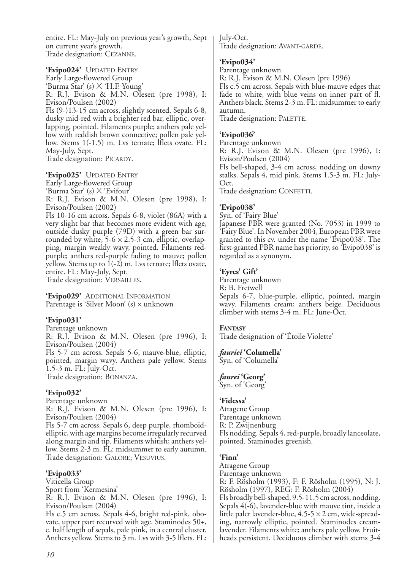entire. FL: May-July on previous year's growth, Sept on current year's growth. Trade designation: CEZANNE.

**'Evipo024'** UPDATED ENTRY Early Large-flowered Group 'Burma Star' (s) X 'H.F. Young' R: R.J. Evison & M.N. Olesen (pre 1998), I: Evison/Poulsen (2002) Fls (9-)13-15 cm across, slightly scented. Sepals 6-8, dusky mid-red with a brighter red bar, elliptic, overlapping, pointed. Filaments purple; anthers pale yellow with reddish brown connective; pollen pale yellow. Stems 1(-1.5) m. Lvs ternate; lflets ovate. FL: May-July, Sept. Trade designation: PICARDY.

**'Evipo025'** UPDATED ENTRY Early Large-flowered Group 'Burma Star' (s) X 'Evifour' R: R.J. Evison & M.N. Olesen (pre 1998), I: Evison/Poulsen (2002) Fls 10-16 cm across. Sepals 6-8, violet (86A) with a very slight bar that becomes more evident with age, outside dusky purple (79D) with a green bar surrounded by white,  $5-6 \times 2.5-3$  cm, elliptic, overlapping, margin weakly wavy, pointed. Filaments redpurple; anthers red-purple fading to mauve; pollen yellow. Stems up to  $\overline{1}(-2)$  m. Lys ternate; lflets ovate, entire. FL: May-July, Sept. Trade designation: VERSAILLES.

**'Evipo029'** ADDITIONAL INFORMATION Parentage is 'Silver Moon'  $(s)$  x unknown

## **'Evipo031'**

Parentage unknown R: R.J. Evison & M.N. Olesen (pre 1996), I: Evison/Poulsen (2004) Fls 5-7 cm across. Sepals 5-6, mauve-blue, elliptic, pointed, margin wavy. Anthers pale yellow. Stems 1.5-3 m. FL: July-Oct. Trade designation: BONANZA.

## **'Evipo032'**

Parentage unknown

R: R.J. Evison & M.N. Olesen (pre 1996), I: Evison/Poulsen (2004)

Fls 5-7 cm across. Sepals 6, deep purple, rhomboidelliptic, with age margins become irregularly recurved along margin and tip. Filaments whitish; anthers yellow. Stems 2-3 m. FL: midsummer to early autumn. Trade designation: GALORE; VESUVIUS.

## **'Evipo033'**

Viticella Group Sport from 'Kermesina' R: R.J. Evison & M.N. Olesen (pre 1996), I: Evison/Poulsen (2004)

Fls c.5 cm across. Sepals 4-6, bright red-pink, obovate, upper part recurved with age. Staminodes 50+, c. half length of sepals, pale pink, in a central cluster. Anthers yellow. Stems to 3 m. Lvs with 3-5 lflets. FL: July-Oct. Trade designation: AVANT-GARDE.

## **'Evipo034'**

Parentage unknown R: R.J. Evison & M.N. Olesen (pre 1996) Fls c.5 cm across. Sepals with blue-mauve edges that fade to white, with blue veins on inner part of fl. Anthers black. Stems 2-3 m. FL: midsummer to early autumn. Trade designation: PALETTE.

#### **'Evipo036'**

Parentage unknown

R: R.J. Evison & M.N. Olesen (pre 1996), I: Evison/Poulsen (2004)

Fls bell-shaped, 3-4 cm across, nodding on downy stalks. Sepals 4, mid pink. Stems 1.5-3 m. FL: July-Oct.

Trade designation: CONFETTI.

### **'Evipo038'**

Syn. of 'Fairy Blue'

Japanese PBR were granted (No. 7053) in 1999 to 'Fairy Blue'. In November 2004, European PBR were granted to this cv. under the name 'Evipo038'. The first-granted PBR name has priority, so 'Evipo038' is regarded as a synonym.

#### **'Eyres' Gift'**

Parentage unknown R: B. Fretwell Sepals 6-7, blue-purple, elliptic, pointed, margin wavy. Filaments cream; anthers beige. Deciduous climber with stems 3-4 m. FL: June-Oct.

#### **FANTASY**

Trade designation of 'Étoile Violette'

*fauriei* **'Columella'**

Syn. of 'Columella'

## *faurei* **'Georg'**

Syn. of 'Georg'

#### **'Fidessa'**

Atragene Group Parentage unknown R: P. Zwijnenburg Fls nodding. Sepals 4, red-purple, broadly lanceolate, pointed. Staminodes greenish.

#### **'Finn'**

Atragene Group Parentage unknown R: F. Rösholm (1993), F: F. Rösholm (1995), N: J. Rösholm (1997), REG: F. Rösholm (2004) Fls broadly bell-shaped, 9.5-11.5 cm across, nodding. Sepals 4(-6), lavender-blue with mauve tint, inside a little paler lavender-blue,  $4.5-5 \times 2$  cm, wide-spreading, narrowly elliptic, pointed. Staminodes creamlavender. Filaments white; anthers pale yellow. Fruitheads persistent. Deciduous climber with stems 3-4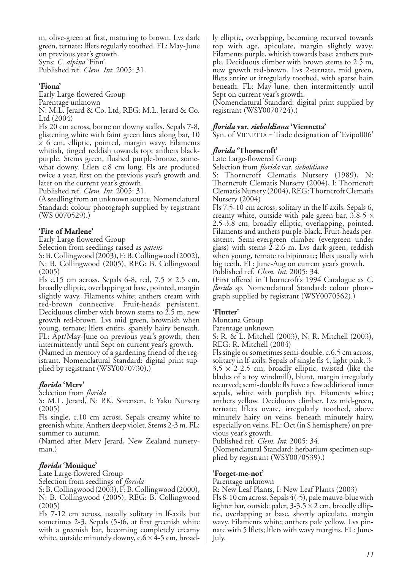m, olive-green at first, maturing to brown. Lvs dark green, ternate; lflets regularly toothed. FL: May-June on previous year's growth.

Syns: *C. alpina* 'Finn'. Published ref. *Clem. Int.* 2005: 31.

#### **'Fiona'**

Early Large-flowered Group Parentage unknown N: M.L. Jerard & Co. Ltd, REG: M.L. Jerard & Co.

Ltd (2004) Fls 20 cm across, borne on downy stalks. Sepals 7-8, glistening white with faint green lines along bar, 10  $\times$  6 cm, elliptic, pointed, margin wavy. Filaments whitish, tinged reddish towards top; anthers blackpurple. Stems green, flushed purple-bronze, somewhat downy. Lflets c.8 cm long. Fls are produced twice a year, first on the previous year's growth and later on the current year's growth.

Published ref. *Clem. Int.* 2005: 31.

(A seedling from an unknown source. Nomenclatural Standard: colour photograph supplied by registrant (WS 0070529).)

#### **'Fire of Marlene'**

Early Large-flowered Group

Selection from seedlings raised as *patens*

S: B. Collingwood (2003), F: B. Collingwood (2002), N: B. Collingwood (2005), REG: B. Collingwood (2005)

Fls c.15 cm across. Sepals 6-8, red,  $7.5 \times 2.5$  cm, broadly elliptic, overlapping at base, pointed, margin slightly wavy. Filaments white; anthers cream with red-brown connective. Fruit-heads persistent. Deciduous climber with brown stems to  $2.5$  m, new growth red-brown. Lvs mid green, brownish when young, ternate; lflets entire, sparsely hairy beneath. FL: Apr/May-June on previous year's growth, then intermittently until Sept on current year's growth.

(Named in memory of a gardening friend of the registrant. Nomenclatural Standard: digital print supplied by registrant (WSY0070730).)

## *florida* **'Merv'**

Selection from *florida*

S: M.L. Jerard, N: P.K. Sorensen, I: Yaku Nursery (2005)

Fls single, c.10 cm across. Sepals creamy white to greenish white. Anthers deep violet. Stems 2-3 m. FL: summer to autumn.

(Named after Merv Jerard, New Zealand nurseryman.)

#### *florida* **'Monique'**

Late Large-flowered Group

Selection from seedlings of *florida*

S: B. Collingwood (2003), F: B. Collingwood (2000), N: B. Collingwood (2005), REG: B. Collingwood (2005)

Fls 7-12 cm across, usually solitary in lf-axils but sometimes 2-3. Sepals (5-)6, at first greenish white with a greenish bar, becoming completely creamy white, outside minutely downy,  $c.6 \times 4$ -5 cm, broadly elliptic, overlapping, becoming recurved towards top with age, apiculate, margin slightly wavy. Filaments purple, whitish towards base; anthers purple. Deciduous climber with brown stems to 2.5 m, new growth red-brown. Lvs 2-ternate, mid green, lflets entire or irregularly toothed, with sparse hairs beneath. FL: May-June, then intermittently until Sept on current year's growth.

(Nomenclatural Standard: digital print supplied by registrant (WSY0070724).)

#### *florida* **var.** *sieboldiana* **'Viennetta'**

Syn. of VIENETTA = Trade designation of 'Evipo006'

#### *florida* **'Thorncroft'**

Late Large-flowered Group

Selection from *florida* var. *sieboldiana*

S: Thorncroft Clematis Nursery (1989), N: Thorncroft Clematis Nursery (2004), I: Thorncroft Clematis Nursery (2004), REG: Thorncroft Clematis Nursery (2004)

Fls 7.5-10 cm across, solitary in the lf-axils. Sepals 6, creamy white, outside with pale green bar, 3.8-5  $\times$ 2.5-3.8 cm, broadly elliptic, overlapping, pointed. Filaments and anthers purple-black. Fruit-heads persistent. Semi-evergreen climber (evergreen under glass) with stems  $2-2.6$  m. Lvs dark green, reddish when young, ternate to bipinnate; lflets usually with big teeth. FL: June-Aug on current year's growth. Published ref. *Clem. Int.* 2005: 34.

(First offered in Thorncroft's 1994 Catalogue as *C. florida* sp. Nomenclatural Standard: colour photograph supplied by registrant (WSY0070562).)

## **'Flutter'**

Montana Group

Parentage unknown

S: R. & L. Mitchell (2003), N: R. Mitchell (2003), REG: R. Mitchell (2004)

Fls single or sometimes semi-double, c.6.5 cm across, solitary in lf-axils. Sepals of single fls 4, light pink, 3-  $3.5 \times 2$ -2.5 cm, broadly elliptic, twisted (like the blades of a toy windmill), blunt, margin irregularly recurved; semi-double fls have a few additional inner sepals, white with purplish tip. Filaments white; anthers yellow. Deciduous climber. Lvs mid-green, ternate; lflets ovate, irregularly toothed, above minutely hairy on veins, beneath minutely hairy, especially on veins. FL: Oct (in S hemisphere) on previous year's growth.

Published ref. *Clem. Int.* 2005: 34.

(Nomenclatural Standard: herbarium specimen supplied by registrant (WSY0070539).)

#### **'Forget-me-not'**

Parentage unknown

R: New Leaf Plants, I: New Leaf Plants (2003)

Fls 8-10 cm across. Sepals 4(-5), pale mauve-blue with lighter bar, outside paler,  $3-3.5 \times 2$  cm, broadly elliptic, overlapping at base, shortly apiculate, margin wavy. Filaments white; anthers pale yellow. Lvs pinnate with 5 lflets; lflets with wavy margins. FL: June-July.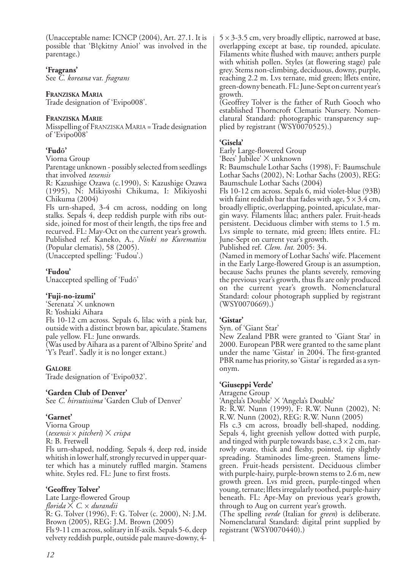(Unacceptable name: ICNCP (2004), Art. 27.1. It is possible that 'Błękitny Anioł' was involved in the parentage.)

#### **'Fragrans'**

See *C. koreana* var. *fragrans*

## **FRANZISKA MARIA**

Trade designation of 'Evipo008'.

### **FRANZISKA MARIE**

Misspelling of FRANZISKA MARIA = Trade designation of 'Evipo008'

## **'Fudō'**

Viorna Group

Parentage unknown - possibly selected from seedlings that involved *texensis*

R: Kazushige Ozawa (c.1990), S: Kazushige Ozawa (1995), N: Mikiyoshi Chikuma, I: Mikiyoshi Chikuma (2004)

Fls urn-shaped, 3-4 cm across, nodding on long stalks. Sepals 4, deep reddish purple with ribs outside, joined for most of their length, the tips free and recurved. FL: May-Oct on the current year's growth. Published ref. Kaneko, A., *Ninki no Kurematisu* (Popular clematis), 58 (2005). (Unaccepted spelling: 'Fudou'.)

**'Fudou'**

Unaccepted spelling of 'Fudō'

## **'Fuji-no-izumi'**

'Serenata' X unknown R: Yoshiaki Aihara Fls 10-12 cm across. Sepals 6, lilac with a pink bar, outside with a distinct brown bar, apiculate. Stamens pale yellow. FL: June onwards. (Was used by Aihara as a parent of 'Albino Sprite' and 'Y's Pearl'. Sadly it is no longer extant.)

## **GALORE**

Trade designation of 'Evipo032'.

#### **'Garden Club of Denver'**

See *C. hirsutissima* 'Garden Club of Denver'

## **'Garnet'**

Viorna Group (*texensis* x *pitcheri*) X *crispa* R: B. Fretwell Fls urn-shaped, nodding. Sepals 4, deep red, inside whitish in lower half, strongly recurved in upper quarter which has a minutely ruffled margin. Stamens white. Styles red. FL: June to first frosts.

## **'Geoffrey Tolver'**

Late Large-flowered Group *florida* X *C.* x *durandii* R: G. Tolver (1996), F: G. Tolver (c. 2000), N: J.M. Brown (2005), REG: J.M. Brown (2005) Fls 9-11 cm across, solitary in lf-axils. Sepals 5-6, deep velvety reddish purple, outside pale mauve-downy, 4-

 $5 \times 3$ -3.5 cm, very broadly elliptic, narrowed at base, overlapping except at base, tip rounded, apiculate. Filaments white flushed with mauve; anthers purple with whitish pollen. Styles (at flowering stage) pale grey. Stems non-climbing, deciduous, downy, purple, reaching 2.2 m. Lvs ternate, mid green; lflets entire, green-downy beneath. FL: June-Sept on current year's growth.

(Geoffrey Tolver is the father of Ruth Gooch who established Thorncroft Clematis Nursery. Nomenclatural Standard: photographic transparency supplied by registrant (WSY0070525).)

## **'Gisela'**

Early Large-flowered Group

'Bees' Jubilee' X unknown R: Baumschule Lothar Sachs (1998), F: Baumschule Lothar Sachs (2002), N: Lothar Sachs (2003), REG: Baumschule Lothar Sachs (2004)

Fls 10-12 cm across. Sepals 6, mid violet-blue (93B) with faint reddish bar that fades with age,  $5 \times 3.4$  cm, broadly elliptic, overlapping, pointed, apiculate, margin wavy. Filaments lilac; anthers paler. Fruit-heads persistent. Deciduous climber with stems to 1.5 m. Lvs simple to ternate, mid green; lflets entire. FL: June-Sept on current year's growth.

Published ref. *Clem. Int.* 2005: 34.

(Named in memory of Lothar Sachs' wife. Placement in the Early Large-flowered Group is an assumption, because Sachs prunes the plants severely, removing the previous year's growth, thus fls are only produced on the current year's growth. Nomenclatural Standard: colour photograph supplied by registrant (WSY0070669).)

## **'Gistar'**

Syn. of 'Giant Star'

New Zealand PBR were granted to 'Giant Star' in 2000. European PBR were granted to the same plant under the name 'Gistar' in 2004. The first-granted PBR name has priority, so 'Gistar' is regarded as a synonym.

## **'Giuseppi Verde'**

Atragene Group

'Angela's Double' X 'Angela's Double'

R: R.W. Nunn (1999), F: R.W. Nunn (2002), N: R.W. Nunn (2002), REG: R.W. Nunn (2005)

Fls c.3 cm across, broadly bell-shaped, nodding. Sepals 4, light greenish yellow dotted with purple, and tinged with purple towards base,  $c.3 \times 2$  cm, narrowly ovate, thick and fleshy, pointed, tip slightly spreading. Staminodes lime-green. Stamens limegreen. Fruit-heads persistent. Deciduous climber with purple-hairy, purple-brown stems to 2.6 m, new growth green. Lvs mid green, purple-tinged when young, ternate; lflets irregularly toothed, purple-hairy beneath. FL: Apr-May on previous year's growth, through to Aug on current year's growth.

(The spelling *verde* (Italian for *green*) is deliberate. Nomenclatural Standard: digital print supplied by registrant (WSY0070440).)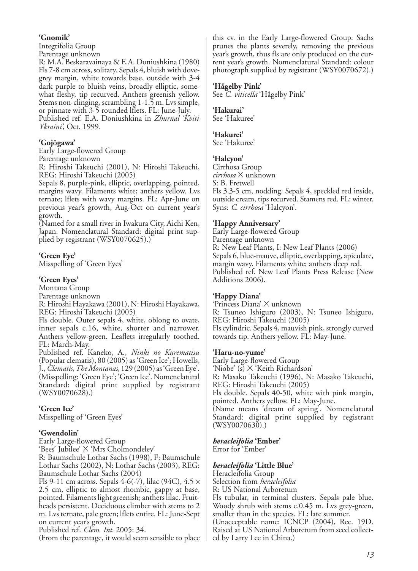### **'Gnomik'**

Integrifolia Group

Parentage unknown

R: M.A. Beskaravainaya & E.A. Doniushkina (1980) Fls 7-8 cm across, solitary. Sepals 4, bluish with dovegrey margin, white towards base, outside with 3-4 dark purple to bluish veins, broadly elliptic, somewhat fleshy, tip recurved. Anthers greenish yellow. Stems non-clinging, scrambling 1-1.5 m. Lvs simple, or pinnate with 3-5 rounded lflets. FL: June-July. Published ref. E.A. Doniushkina in *Zhurnal 'Kviti Ykraini'*, Oct. 1999.

## **'Gojōgawa'**

Early Large-flowered Group

Parentage unknown

R: Hiroshi Takeuchi (2001), N: Hiroshi Takeuchi, REG: Hiroshi Takeuchi (2005)

Sepals 8, purple-pink, elliptic, overlapping, pointed, margins wavy. Filaments white; anthers yellow. Lvs ternate; lflets with wavy margins. FL: Apr-June on previous year's growth, Aug-Oct on current year's growth.

(Named for a small river in Iwakura City, Aichi Ken, Japan. Nomenclatural Standard: digital print supplied by registrant (WSY0070625).)

### **'Green Eye'**

Misspelling of 'Green Eyes'

### **'Green Eyes'**

Montana Group

Parentage unknown

R: Hiroshi Hayakawa (2001), N: Hiroshi Hayakawa, REG: Hiroshi Takeuchi (2005)

Fls double. Outer sepals 4, white, oblong to ovate, inner sepals c.16, white, shorter and narrower. Anthers yellow-green. Leaflets irregularly toothed. FL: March-May.

Published ref. Kaneko, A., *Ninki no Kurematisu* (Popular clematis), 80 (2005) as 'Green Ice'; Howells, J., *Clematis, The Montanas*, 129 (2005) as 'Green Eye'. (Misspelling: 'Green Eye'; 'Green Ice'. Nomenclatural Standard: digital print supplied by registrant  $(WSY0070628)$ .

## **'Green Ice'**

Misspelling of 'Green Eyes'

## **'Gwendolin'**

Early Large-flowered Group 'Bees' Jubilee' X 'Mrs Cholmondeley' R: Baumschule Lothar Sachs (1998), F: Baumschule Lothar Sachs (2002), N: Lothar Sachs (2003), REG: Baumschule Lothar Sachs (2004)

Fls 9-11 cm across. Sepals 4-6(-7), lilac (94C), 4.5  $\times$ 2.5 cm, elliptic to almost rhombic, gappy at base, pointed. Filaments light greenish; anthers lilac. Fruitheads persistent. Deciduous climber with stems to 2 m. Lvs ternate, pale green; lflets entire. FL: June-Sept on current year's growth.

Published ref. *Clem. Int.* 2005: 34.

(From the parentage, it would seem sensible to place

this cv. in the Early Large-flowered Group. Sachs prunes the plants severely, removing the previous year's growth, thus fls are only produced on the current year's growth. Nomenclatural Standard: colour photograph supplied by registrant (WSY0070672).)

#### **'Hågelby Pink'**

See *C. viticella* 'Hågelby Pink'

#### **'Hakurai'**

See 'Hakuree'

#### **'Hakurei'**

See 'Hakuree'

#### **'Halcyon'**

Cirrhosa Group *cirrhosa* X unknown S: B. Fretwell Fls 3.3-5 cm, nodding. Sepals 4, speckled red inside, outside cream, tips recurved. Stamens red. FL: winter. Syns: *C. cirrhosa* 'Halcyon'.

### **'Happy Anniversary'**

Early Large-flowered Group Parentage unknown R: New Leaf Plants, I: New Leaf Plants (2006) Sepals 6, blue-mauve, elliptic, overlapping, apiculate, margin wavy. Filaments white; anthers deep red. Published ref. New Leaf Plants Press Release (New Additions 2006).

#### **'Happy Diana'**

'Princess Diana' X unknown R: Tsuneo Ishiguro (2003), N: Tsuneo Ishiguro, REG: Hiroshi Takeuchi (2005) Fls cylindric. Sepals 4, mauvish pink, strongly curved towards tip. Anthers yellow. FL: May-June.

#### **'Haru-no-yume'**

Early Large-flowered Group 'Niobe' (s) X 'Keith Richardson' R: Masako Takeuchi (1996), N: Masako Takeuchi, REG: Hiroshi Takeuchi (2005) Fls double. Sepals 40-50, white with pink margin, pointed. Anthers yellow. FL: May-June. (Name means 'dream of spring'. Nomenclatural Standard: digital print supplied by registrant  $(WSY0070630)$ .)

#### *heracleifolia* **'Ember'**

Error for 'Ember'

#### *heracleifolia* **'Little Blue'**

Heracleifolia Group

Selection from *heracleifolia*

R: US National Arboretum

Fls tubular, in terminal clusters. Sepals pale blue. Woody shrub with stems c.0.45 m. Lvs grey-green, smaller than in the species. FL: late summer.

(Unacceptable name: ICNCP (2004), Rec. 19D. Raised at US National Arboretum from seed collected by Larry Lee in China.)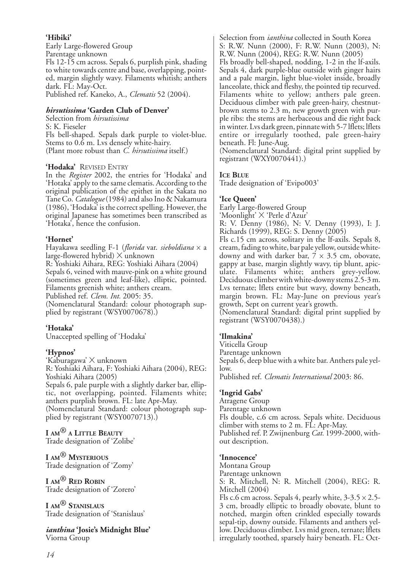## **'Hibiki'**

Early Large-flowered Group Parentage unknown Fls 12-15 cm across. Sepals 6, purplish pink, shading to white towards centre and base, overlapping, pointed, margin slightly wavy. Filaments whitish; anthers dark. FL: May-Oct. Published ref. Kaneko, A., *Clematis* 52 (2004).

#### *hirsutissima* **'Garden Club of Denver'**

Selection from *hirsutissima* S: K. Fieseler Fls bell-shaped. Sepals dark purple to violet-blue. Stems to 0.6 m. Lvs densely white-hairy. (Plant more robust than *C. hirsutissima* itself.)

### **'Hodaka'** REVISED ENTRY

In the *Register* 2002, the entries for 'Hodaka' and 'Hotaka' apply to the same clematis. According to the original publication of the epithet in the Sakata no Tane Co. *Catalogue*(1984) and also Ino & Nakamura (1986), 'Hodaka' is the correct spelling. However, the original Japanese has sometimes been transcribed as 'Hotaka', hence the confusion.

## **'Hornet'**

Hayakawa seedling F-1 (*florida* var. *sieboldiana* x a large-flowered hybrid)  $\times$  unknown R: Yoshiaki Aihara, REG: Yoshiaki Aihara (2004) Sepals 6, veined with mauve-pink on a white ground (sometimes green and leaf-like), elliptic, pointed. Filaments greenish white; anthers cream. Published ref. *Clem. Int.* 2005: 35. (Nomenclatural Standard: colour photograph supplied by registrant (WSY0070678).)

## **'Hotaka'**

Unaccepted spelling of 'Hodaka'

## **'Hypnos'**

'Kaburagawa' X unknown R: Yoshiaki Aihara, F: Yoshiaki Aihara (2004), REG: Yoshiaki Aihara (2005) Sepals 6, pale purple with a slightly darker bar, elliptic, not overlapping, pointed. Filaments white; anthers purplish brown. FL: late Apr-May. (Nomenclatural Standard: colour photograph supplied by registrant (WSY0070713).)

**I AM® <sup>A</sup> LITTLE BEAUTY** Trade designation of 'Zolibe'

**I AM® MYSTERIOUS** Trade designation of 'Zomy'

**I AM® RED ROBIN** Trade designation of 'Zorero'

**I AM® STANISLAUS** Trade designation of 'Stanislaus'

*ianthina* **'Josie's Midnight Blue'** Viorna Group

Selection from *ianthina* collected in South Korea S: R.W. Nunn (2000), F: R.W. Nunn (2003), N: R.W. Nunn (2004), REG: R.W. Nunn (2005) Fls broadly bell-shaped, nodding, 1-2 in the lf-axils. Sepals 4, dark purple-blue outside with ginger hairs and a pale margin, light blue-violet inside, broadly lanceolate, thick and fleshy, the pointed tip recurved. Filaments white to yellow; anthers pale green. Deciduous climber with pale green-hairy, chestnutbrown stems to 2.3 m, new growth green with purple ribs: the stems are herbaceous and die right back in winter. Lvs dark green, pinnate with 5-7 lflets; lflets entire or irregularly toothed, pale green-hairy beneath. Fl: June-Aug.

(Nomenclatural Standard: digital print supplied by registrant (WXY0070441).)

## **ICE BLUE**

Trade designation of 'Evipo003'

## **'Ice Queen'**

Early Large-flowered Group 'Moonlight' X 'Perle d'Azur'

R: V. Denny (1986), N: V. Denny (1993), I: J. Richards (1999), REG: S. Denny (2005)

Fls c.15 cm across, solitary in the lf-axils. Sepals 8, cream, fading to white, bar pale yellow, outside whitedowny and with darker bar,  $7 \times 3.5$  cm, obovate, gappy at base, margin slightly wavy, tip blunt, apiculate. Filaments white; anthers grey-yellow. Deciduous climber with white-downy stems 2.5-3 m. Lvs ternate; lflets entire but wavy, downy beneath, margin brown. FL: May-June on previous year's growth, Sept on current year's growth.

(Nomenclatural Standard: digital print supplied by registrant (WSY0070438).)

## **'Ilmakina'**

Viticella Group Parentage unknown Sepals 6, deep blue with a white bar. Anthers pale yellow. Published ref. *Clematis International* 2003: 86.

## **'Ingrid Gabs'**

Atragene Group Parentage unknown Fls double, c.6 cm across. Sepals white. Deciduous climber with stems to 2 m. FL: Apr-May. Published ref. P. Zwijnenburg *Cat.* 1999-2000, without description.

#### **'Innocence'**

Montana Group Parentage unknown S: R. Mitchell, N: R. Mitchell (2004), REG: R. Mitchell (2004) Fls c.6 cm across. Sepals 4, pearly white,  $3-3.5 \times 2.5-$ 3 cm, broadly elliptic to broadly obovate, blunt to notched, margin often crinkled especially towards sepal-tip, downy outside. Filaments and anthers yellow. Deciduous climber. Lvs mid green, ternate; lflets irregularly toothed, sparsely hairy beneath. FL: Oct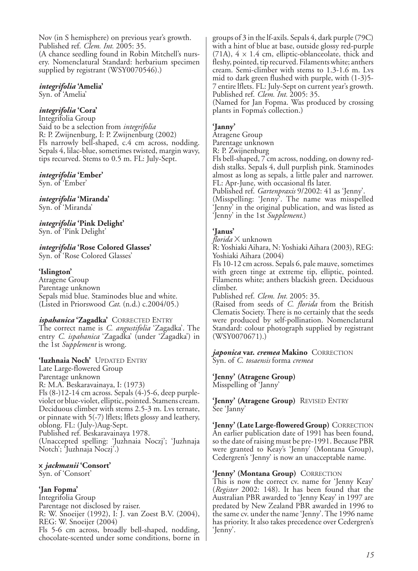Nov (in S hemisphere) on previous year's growth. Published ref. *Clem. Int.* 2005: 35. (A chance seedling found in Robin Mitchell's nursery. Nomenclatural Standard: herbarium specimen supplied by registrant (WSY0070546).)

## *integrifolia* **'Amelia'**

Syn. of 'Amelia'

## *integrifolia* **'Cora'**

Integrifolia Group Said to be a selection from *integrifolia* R: P. Zwijnenburg, I: P. Zwijnenburg (2002) Fls narrowly bell-shaped, c.4 cm across, nodding. Sepals 4, lilac-blue, sometimes twisted, margin wavy, tips recurved. Stems to 0.5 m. FL: July-Sept.

## *integrifolia* **'Ember'**

Syn. of 'Ember'

#### *integrifolia* **'Miranda'** Syn. of 'Miranda'

*integrifolia* **'Pink Delight'** Syn. of 'Pink Delight'

#### *integrifolia* **'Rose Colored Glasses'** Syn. of 'Rose Colored Glasses'

## **'Islington'**

Atragene Group Parentage unknown Sepals mid blue. Staminodes blue and white. (Listed in Priorswood *Cat*. (n.d.) c.2004/05.)

## *ispahanica* **'Zagadka'** CORRECTED ENTRY

The correct name is *C. angustifolia* 'Zagadka'. The entry *C. ispahanica* 'Zagadka' (under 'Zagadka') in the 1st *Supplement* is wrong.

**'Iuzhnaia Noch'** UPDATED ENTRY Late Large-flowered Group Parentage unknown R: M.A. Beskaravainaya, I: (1973) Fls (8-)12-14 cm across. Sepals (4-)5-6, deep purpleviolet or blue-violet, elliptic, pointed. Stamens cream. Deciduous climber with stems 2.5-3 m. Lvs ternate, or pinnate with 5(-7) lflets; lflets glossy and leathery, oblong. FL: (July-)Aug-Sept. Published ref. Beskaravainaya 1978. (Unaccepted spelling: 'Juzhnaia Noczj'; 'Juzhnaja Notch'; 'Juzhnaja Noczj'.)

#### x *jackmanii* **'Consort'** Syn. of 'Consort'

**'Jan Fopma'**

Integrifolia Group Parentage not disclosed by raiser. R: W. Snoeijer (1992), I: J. van Zoest B.V. (2004), REG: W. Snoeijer (2004) Fls 5-6 cm across, broadly bell-shaped, nodding, chocolate-scented under some conditions, borne in groups of 3 in the lf-axils. Sepals 4, dark purple (79C) with a hint of blue at base, outside glossy red-purple  $(71A)$ ,  $4 \times 1.4$  cm, elliptic-oblanceolate, thick and fleshy, pointed, tip recurved. Filaments white; anthers cream. Semi-climber with stems to 1.3-1.6 m. Lvs mid to dark green flushed with purple, with (1-3)5- 7 entire lflets. FL: July-Sept on current year's growth. Published ref. *Clem. Int.* 2005: 35.

(Named for Jan Fopma. Was produced by crossing plants in Fopma's collection.)

## **'Janny'**

Atragene Group Parentage unknown

R: P. Zwijnenburg

Fls bell-shaped, 7 cm across, nodding, on downy reddish stalks. Sepals 4, dull purplish pink. Staminodes almost as long as sepals, a little paler and narrower. FL: Apr-June, with occasional fls later.

Published ref. *Gartenpraxis* 9/2002: 41 as 'Jenny'. (Misspelling: 'Jenny'. The name was misspelled 'Jenny' in the original publication, and was listed as 'Jenny' in the 1st *Supplement*.)

## **'Janus'**

*florida* X unknown

R: Yoshiaki Aihara, N: Yoshiaki Aihara (2003), REG: Yoshiaki Aihara (2004)

Fls 10-12 cm across. Sepals 6, pale mauve, sometimes with green tinge at extreme tip, elliptic, pointed. Filaments white; anthers blackish green. Deciduous climber.

Published ref. *Clem. Int.* 2005: 35.

(Raised from seeds of *C. florida* from the British Clematis Society. There is no certainly that the seeds were produced by self-pollination. Nomenclatural Standard: colour photograph supplied by registrant (WSY0070671).)

*japonica* **var.** *cremea* **Makino** CORRECTION Syn. of *C. tosaensis* forma *cremea*

**'Jenny' (Atragene Group)** Misspelling of 'Janny'

**'Jenny' (Atragene Group)** REVISED ENTRY See 'Janny'

**'Jenny' (Late Large-flowered Group)** CORRECTION An earlier publication date of 1991 has been found, so the date of raising must be pre-1991. Because PBR were granted to Keay's 'Jenny' (Montana Group), Cedergren's 'Jenny' is now an unacceptable name.

## **'Jenny' (Montana Group)** CORRECTION

This is now the correct cv. name for 'Jenny Keay' (*Register* 2002: 148). It has been found that the Australian PBR awarded to 'Jenny Keay' in 1997 are predated by New Zealand PBR awarded in 1996 to the same cv. under the name 'Jenny'. The 1996 name has priority. It also takes precedence over Cedergren's 'Jenny'.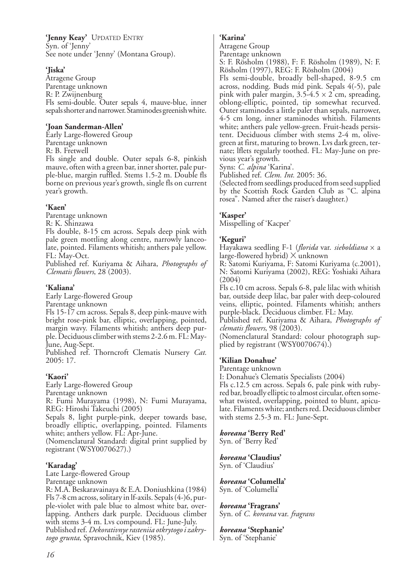**'Jenny Keay'** UPDATED ENTRY Syn. of 'Jenny' See note under 'Jenny' (Montana Group).

#### **'Jiska'**

Atragene Group Parentage unknown R: P. Zwijnenburg Fls semi-double. Outer sepals 4, mauve-blue, inner sepals shorter and narrower. Staminodes greenish white.

#### **'Joan Sanderman-Allen'**

Early Large-flowered Group Parentage unknown R: B. Fretwell Fls single and double. Outer sepals 6-8, pinkish mauve, often with a green bar, inner shorter, pale purple-blue, margin ruffled. Stems 1.5-2 m. Double fls borne on previous year's growth, single fls on current year's growth.

## **'Kaen'**

Parentage unknown

R: K. Shinzawa

Fls double, 8-15 cm across. Sepals deep pink with pale green mottling along centre, narrowly lanceolate, pointed. Filaments whitish; anthers pale yellow. FL: May-Oct.

Published ref. Kuriyama & Aihara, *Photographs of Clematis flowers*, 28 (2003).

#### **'Kaliana'**

Early Large-flowered Group Parentage unknown

Fls 15-17 cm across. Sepals 8, deep pink-mauve with bright rose-pink bar, elliptic, overlapping, pointed, margin wavy. Filaments whitish; anthers deep purple. Deciduous climber with stems 2-2.6 m. FL: May-June, Aug-Sept.

Published ref. Thorncroft Clematis Nursery *Cat.* 2005: 17.

## **'Kaori'**

Early Large-flowered Group Parentage unknown

R: Fumi Murayama (1998), N: Fumi Murayama, REG: Hiroshi Takeuchi (2005)

Sepals 8, light purple-pink, deeper towards base, broadly elliptic, overlapping, pointed. Filaments white; anthers yellow. FL: Apr-June.

(Nomenclatural Standard: digital print supplied by registrant (WSY0070627).)

## **'Karadag'**

Late Large-flowered Group Parentage unknown

R: M.A. Beskaravainaya & E.A. Doniushkina (1984) Fls 7-8 cm across, solitary in lf-axils. Sepals (4-)6, purple-violet with pale blue to almost white bar, overlapping. Anthers dark purple. Deciduous climber with stems 3-4 m. Lvs compound. FL: June-July. Published ref. *Dekorativnye rasteniia otkrytogo i zakrytogo grunta*, Spravochnik, Kiev (1985).

### **'Karina'**

Atragene Group

Parentage unknown S: F. Rösholm (1988), F: F. Rösholm (1989), N: F. Rösholm (1997), REG: F. Rösholm (2004)

Fls semi-double, broadly bell-shaped, 8-9.5 cm across, nodding. Buds mid pink. Sepals 4(-5), pale pink with paler margin,  $3.5-4.5 \times 2$  cm, spreading, oblong-elliptic, pointed, tip somewhat recurved. Outer staminodes a little paler than sepals, narrower, 4-5 cm long, inner staminodes whitish. Filaments white; anthers pale yellow-green. Fruit-heads persistent. Deciduous climber with stems 2-4 m, olivegreen at first, maturing to brown. Lvs dark green, ternate; lflets regularly toothed. FL: May-June on previous year's growth.

Syns: *C. alpina* 'Karina'.

Published ref. *Clem. Int.* 2005: 36.

(Selected from seedlings produced from seed supplied by the Scottish Rock Garden Club as "C. alpina rosea". Named after the raiser's daughter.)

### **'Kasper'**

Misspelling of 'Kacper'

### **'Keguri'**

Hayakawa seedling F-1 (*florida* var. *sieboldiana* x a large-flowered hybrid)  $\times$  unknown

R: Satomi Kuriyama, F: Satomi Kuriyama (c.2001), N: Satomi Kuriyama (2002), REG: Yoshiaki Aihara (2004)

Fls c.10 cm across. Sepals 6-8, pale lilac with whitish bar, outside deep lilac, bar paler with deep-coloured veins, elliptic, pointed. Filaments whitish; anthers purple-black. Deciduous climber. FL: May.

Published ref. Kuriyama & Aihara, *Photographs of clematis flowers*, 98 (2003).

(Nomenclatural Standard: colour photograph supplied by registrant (WSY0070674).)

#### **'Kilian Donahue'**

Parentage unknown

I: Donahue's Clematis Specialists (2004)

Fls c.12.5 cm across. Sepals 6, pale pink with rubyred bar, broadly elliptic to almost circular, often somewhat twisted, overlapping, pointed to blunt, apiculate. Filaments white; anthers red. Deciduous climber with stems 2.5-3 m. FL: June-Sept.

## *koreana* **'Berry Red'**

Syn. of 'Berry Red'

#### *koreana* **'Claudius'** Syn. of 'Claudius'

## *koreana* **'Columella'**

Syn. of 'Columella'

## *koreana* **'Fragrans'**

Syn. of *C. koreana* var. *fragrans*

#### *koreana* **'Stephanie'** Syn. of 'Stephanie'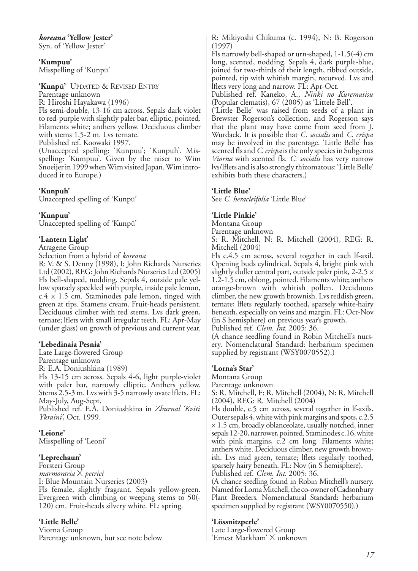*koreana* **'Yellow Jester'**

Syn. of 'Yellow Jester'

**'Kumpuu'** Misspelling of 'Kunpū'

**'Kunpū'** UPDATED & REVISED ENTRY Parentage unknown R: Hiroshi Hayakawa (1996) Fls semi-double, 13-16 cm across. Sepals dark violet to red-purple with slightly paler bar, elliptic, pointed. Filaments white; anthers yellow. Deciduous climber with stems 1.5-2 m. Lvs ternate.

Published ref. Koowaki 1997.

(Unaccepted spelling: 'Kunpuu'; 'Kunpuh'. Misspelling: 'Kumpuu'. Given by the raiser to Wim Snoeijer in 1999 when Wim visited Japan. Wim introduced it to Europe.)

### **'Kunpuh'**

Unaccepted spelling of 'Kunpū'

#### **'Kunpuu'**

Unaccepted spelling of 'Kunpū'

#### **'Lantern Light'**

Atragene Group

Selection from a hybrid of *koreana*

R: V. & S. Denny (1998), I: John Richards Nurseries Ltd (2002), REG: John Richards Nurseries Ltd (2005) Fls bell-shaped, nodding. Sepals 4, outside pale yellow sparsely speckled with purple, inside pale lemon,  $c.4 \times 1.5$  cm. Staminodes pale lemon, tinged with green at tips. Stamens cream. Fruit-heads persistent. Deciduous climber with red stems. Lvs dark green, ternate; lflets with small irregular teeth. FL: Apr-May (under glass) on growth of previous and current year.

#### **'Lebedinaia Pesnia'**

Late Large-flowered Group

Parentage unknown

R: E.A. Doniushkina (1989)

Fls 13-15 cm across. Sepals 4-6, light purple-violet with paler bar, narrowly elliptic. Anthers yellow. Stems 2.5-3 m. Lvs with 3-5 narrowly ovate lflets. FL: May-July, Aug-Sept.

Published ref. E.A. Doniushkina in *Zhurnal 'Kviti Ykraini'*, Oct. 1999.

## **'Leione'**

Misspelling of 'Leoni'

#### **'Leprechaun'**

Forsteri Group *marmoraria* X *petriei* I: Blue Mountain Nurseries (2003) Fls female, slightly fragrant. Sepals yellow-green. Evergreen with climbing or weeping stems to 50(- 120) cm. Fruit-heads silvery white. FL: spring.

## **'Little Belle'**

Viorna Group Parentage unknown, but see note below R: Mikiyoshi Chikuma (c. 1994), N: B. Rogerson (1997)

Fls narrowly bell-shaped or urn-shaped, 1-1.5(-4) cm long, scented, nodding. Sepals 4, dark purple-blue, joined for two-thirds of their length, ribbed outside, pointed, tip with whitish margin, recurved. Lvs and lflets very long and narrow. FL: Apr-Oct.

Published ref. Kaneko, A., *Ninki no Kurematisu* (Popular clematis), 67 (2005) as 'Littele Bell'.

('Little Belle' was raised from seeds of a plant in Brewster Rogerson's collection, and Rogerson says that the plant may have come from seed from J. Wurdack. It is possible that *C. socialis* and *C. crispa* may be involved in the parentage. 'Little Belle' has scented fls and *C. crispa* is the only species in Subgenus *Viorna* with scented fls. *C. socialis* has very narrow lvs/lflets and is also strongly rhizomatous: 'Little Belle' exhibits both these characters.)

#### **'Little Blue'**

See *C. heracleifolia* 'Little Blue'

#### **'Little Pinkie'**

Montana Group

Parentage unknown

S: R. Mitchell, N: R. Mitchell (2004), REG: R. Mitchell (2004)

Fls c.4.5 cm across, several together in each lf-axil. Opening buds cylindrical. Sepals 4, bright pink with slightly duller central part, outside paler pink, 2-2.5  $\times$ 1.2-1.5 cm, oblong, pointed. Filaments white; anthers orange-brown with whitish pollen. Deciduous climber, the new growth brownish. Lvs reddish green, ternate; lflets regularly toothed, sparsely white-hairy beneath, especially on veins and margin. FL: Oct-Nov (in S hemisphere) on previous year's growth.

Published ref. *Clem. Int.* 2005: 36.

(A chance seedling found in Robin Mitchell's nursery. Nomenclatural Standard: herbarium specimen supplied by registrant (WSY0070552).)

#### **'Lorna's Star'**

Montana Group

Parentage unknown

S: R. Mitchell, F: R. Mitchell (2004), N: R. Mitchell (2004), REG: R. Mitchell (2004)

Fls double, c.5 cm across, several together in lf-axils. Outer sepals 4, white with pink margins and spots, c.2.5  $\times$  1.5 cm, broadly oblanceolate, usually notched, inner sepals 12-20, narrower, pointed. Staminodes c.16, white with pink margins, c.2 cm long. Filaments white; anthers white. Deciduous climber, new growth brownish. Lvs mid green, ternate; lflets regularly toothed, sparsely hairy beneath. FL: Nov (in S hemisphere). Published ref. *Clem. Int.* 2005: 36.

(A chance seedling found in Robin Mitchell's nursery. Named for Lorna Mitchell, the co-owner of Cadsonbury Plant Breeders. Nomenclatural Standard: herbarium specimen supplied by registrant (WSY0070550).)

## **'Lössnitzperle'**

Late Large-flowered Group 'Ernest Markham' X unknown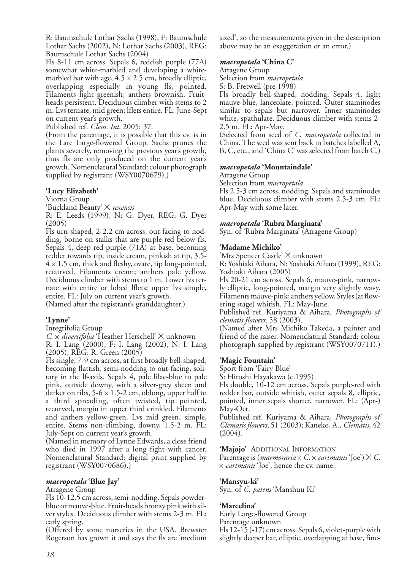R: Baumschule Lothar Sachs (1998), F: Baumschule Lothar Sachs (2002), N: Lothar Sachs (2003), REG: Baumschule Lothar Sachs (2004)

Fls 8-11 cm across. Sepals 6, reddish purple (77A) somewhat white-marbled and developing a whitemarbled bar with age,  $4.5 \times 2.5$  cm, broadly elliptic, overlapping especially in young fls, pointed. Filaments light greenish; anthers brownish. Fruitheads persistent. Deciduous climber with stems to 2 m. Lvs ternate, mid green; lflets entire. FL: June-Sept on current year's growth.

Published ref. *Clem. Int.* 2005: 37.

(From the parentage, it is possible that this cv. is in the Late Large-flowered Group. Sachs prunes the plants severely, removing the previous year's growth, thus fls are only produced on the current year's growth. Nomenclatural Standard: colour photograph supplied by registrant (WSY0070679).)

#### **'Lucy Elizabeth'**

#### Viorna Group

'Buckland Beauty' X *texensis*

R: E. Leeds (1999), N: G. Dyer, REG: G. Dyer (2005)

Fls urn-shaped, 2-2.2 cm across, out-facing to nodding, borne on stalks that are purple-red below fls. Sepals 4, deep red-purple (71A) at base, becoming redder towards tip, inside cream, pinkish at tip, 3.5-  $4 \times 1.5$  cm, thick and fleshy, ovate, tip long-pointed, recurved. Filaments cream; anthers pale yellow. Deciduous climber with stems to 1 m. Lower lvs ternate with entire or lobed lflets; upper lvs simple, entire. FL: July on current year's growth.

(Named after the registrant's granddaughter.)

#### **'Lynne'**

Integrifolia Group

*C.* x *diversifolia* 'Heather Herschell' X unknown

R: I. Lang (2000), F: I. Lang (2002), N: I. Lang (2005), REG: R. Green (2005)

Fls single, 7-9 cm across, at first broadly bell-shaped, becoming flattish, semi-nodding to out-facing, solitary in the lf-axils. Sepals 4, pale lilac-blue to pale pink, outside downy, with a silver-grey sheen and darker on ribs,  $5-6 \times 1.5-2$  cm, oblong, upper half to a third spreading, often twisted, tip pointed, recurved, margin in upper third crinkled. Filaments and anthers yellow-green. Lvs mid green, simple, entire. Stems non-climbing, downy, 1.5-2 m. FL: July-Sept on current year's growth.

(Named in memory of Lynne Edwards, a close friend who died in 1997 after a long fight with cancer. Nomenclatural Standard: digital print supplied by registrant (WSY0070686).)

#### *macropetala* **'Blue Jay'**

#### Atragene Group

Fls 10-12.5 cm across, semi-nodding. Sepals powderblue or mauve-blue. Fruit-heads bronzy pink with silver styles. Deciduous climber with stems 2-3 m. FL: early spring.

(Offered by some nurseries in the USA. Brewster Rogerson has grown it and says the fls are 'medium sized', so the measurements given in the description above may be an exaggeration or an error.)

#### *macropetala* **'China C'**

Atragene Group

Selection from *macropetala*

 $S: B.$  Fretwell (pre 1998)

Fls broadly bell-shaped, nodding. Sepals 4, light mauve-blue, lanceolate, pointed. Outer staminodes similar to sepals but narrower. Inner staminodes white, spathulate. Deciduous climber with stems 2- 2.5 m. FL: Apr-May.

(Selected from seed of *C. macropetala* collected in China. The seed was sent back in batches labelled A, B, C, etc., and 'China C' was selected from batch C.)

#### *macropetala* **'Mountaindale'**

Atragene Group

Selection from *macropetala*

Fls 2.5-3 cm across, nodding. Sepals and staminodes blue. Deciduous climber with stems 2.5-3 cm. FL: Apr-May with some later.

#### *macropetala* **'Rubra Marginata'**

Syn. of 'Rubra Marginata' (Atragene Group)

#### **'Madame Michiko'**

'Mrs Spencer Castle' X unknown

R: Yoshiaki Aihara, N: Yoshiaki Aihara (1999), REG: Yoshiaki Aihara (2005)

Fls 20-21 cm across. Sepals 6, mauve-pink, narrowly elliptic, long-pointed, margin very slightly wavy. Filaments mauve-pink; anthers yellow. Styles (at flowering stage) whitish. FL: May-June.

Published ref. Kuriyama & Aihara, *Photographs of clematis flowers*, 58 (2003).

(Named after Mrs Michiko Takeda, a painter and friend of the raiser. Nomenclatural Standard: colour photograph supplied by registrant (WSY0070711).)

#### **'Magic Fountain'**

Sport from 'Fairy Blue'

S: Hiroshi Hayakawa (c.1995)

Fls double, 10-12 cm across. Sepals purple-red with redder bar, outside whitish, outer sepals 8, elliptic, pointed, inner sepals shorter, narrower. FL: (Apr-) May-Oct.

Published ref. Kuriyama & Aihara, *Photographs of Clematis flowers*, 51 (2003); Kaneko, A., *Clematis*, 42 (2004).

**'Majojo'** ADDITIONAL INFORMATION

Parentage is (*marmoraria* x *C.* x *cartmanii* 'Joe') X *C.* x *cartmanii* 'Joe', hence the cv. name.

#### **'Mansyu-ki'**

Syn. of *C. patens* 'Manshuu Ki'

#### **'Marcelina'**

Early Large-flowered Group Parentage unknown Fls 12-15 (-17) cm across. Sepals 6, violet-purple with

slightly deeper bar, elliptic, overlapping at base, fine-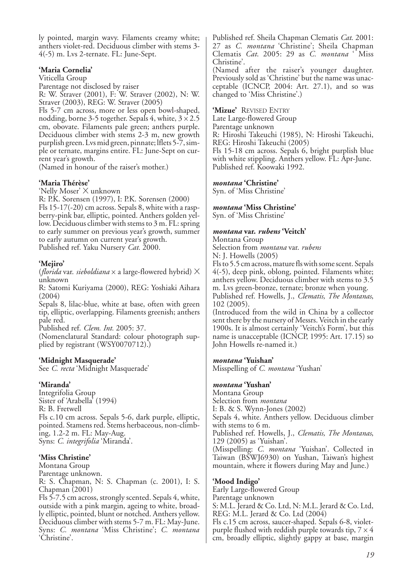ly pointed, margin wavy. Filaments creamy white; anthers violet-red. Deciduous climber with stems 3- 4(-5) m. Lvs 2-ternate. FL: June-Sept.

#### **'Maria Cornelia'**

Viticella Group

Parentage not disclosed by raiser R: W. Straver (2001), F: W. Straver (2002), N: W.

Straver (2003), REG: W. Straver (2005)

Fls 5-7 cm across, more or less open bowl-shaped, nodding, borne 3-5 together. Sepals 4, white,  $3 \times 2.5$ cm, obovate. Filaments pale green; anthers purple. Deciduous climber with stems 2-3 m, new growth purplish green. Lvs mid green, pinnate; lflets 5-7, simple or ternate, margins entire. FL: June-Sept on current year's growth.

(Named in honour of the raiser's mother.)

### **'Maria Thérèse'**

'Nelly Moser' X unknown

R: P.K. Sorensen (1997), I: P.K. Sorensen (2000) Fls 15-17(-20) cm across. Sepals 8, white with a raspberry-pink bar, elliptic, pointed. Anthers golden yellow. Deciduous climber with stems to 3 m. FL: spring to early summer on previous year's growth, summer to early autumn on current year's growth. Published ref. Yaku Nursery *Cat.* 2000.

### **'Mejiro'**

(*florida* var. *sieboldiana* x a large-flowered hybrid) X unknown

R: Satomi Kuriyama (2000), REG: Yoshiaki Aihara (2004)

Sepals 8, lilac-blue, white at base, often with green tip, elliptic, overlapping. Filaments greenish; anthers pale red.

Published ref. *Clem. Int.* 2005: 37.

(Nomenclatural Standard: colour photograph supplied by registrant (WSY0070712).)

#### **'Midnight Masquerade'**

See *C. recta* 'Midnight Masquerade'

#### **'Miranda'**

Integrifolia Group Sister of 'Arabella<sup>3</sup> (1994) R: B. Fretwell Fls c.10 cm across. Sepals 5-6, dark purple, elliptic, pointed. Stamens red. Stems herbaceous, non-climbing, 1.2-2 m. FL: May-Aug. Syns: *C. integrifolia* 'Miranda'.

## **'Miss Christine'**

Montana Group Parentage unknown. R: S. Chapman, N: S. Chapman (c. 2001), I: S. Chapman (2001)

Fls 5-7.5 cm across, strongly scented. Sepals 4, white, outside with a pink margin, ageing to white, broadly elliptic, pointed, blunt or notched. Anthers yellow. Deciduous climber with stems 5-7 m. FL: May-June. Syns: *C. montana* 'Miss Christine'; *C. montana* 'Christine'.

Published ref. Sheila Chapman Clematis *Cat*. 2001: 27 as *C. montana* 'Christine'; Sheila Chapman Clematis *Cat*. 2005: 29 as *C. montana* ' Miss Christine'.

(Named after the raiser's younger daughter. Previously sold as 'Christine' but the name was unacceptable (ICNCP, 2004: Art. 27.1), and so was changed to 'Miss Christine'.)

**'Mizue'** REVISED ENTRY

Late Large-flowered Group

Parentage unknown

R: Hiroshi Takeuchi (1985), N: Hiroshi Takeuchi, REG: Hiroshi Takeuchi (2005)

Fls 15-18 cm across. Sepals 6, bright purplish blue with white stippling. Anthers yellow. FL: Apr-June. Published ref. Koowaki 1992.

#### *montana* **'Christine'**

Syn. of 'Miss Christine'

#### *montana* **'Miss Christine'**

Syn. of 'Miss Christine'

#### *montana* **var.** *rubens* **'Veitch'**

Montana Group Selection from *montana* var. *rubens* N: J. Howells (2005)

Fls to 5.5 cm across, mature fls with some scent. Sepals 4(-5), deep pink, oblong, pointed. Filaments white; anthers yellow. Deciduous climber with stems to 3.5 m. Lvs green-bronze, ternate; bronze when young.

Published ref. Howells, J., *Clematis, The Montanas*, 102 (2005).

(Introduced from the wild in China by a collector sent there by the nursery of Messrs. Veitch in the early 1900s. It is almost certainly 'Veitch's Form', but this name is unacceptable (ICNCP, 1995: Art. 17.15) so John Howells re-named it.)

#### *montana* **'Yuishan'**

Misspelling of *C. montana* 'Yushan'

#### *montana* **'Yushan'**

Montana Group Selection from *montana* I: B. & S. Wynn-Jones (2002) Sepals 4, white. Anthers yellow. Deciduous climber with stems to 6 m. Published ref. Howells, J., *Clematis, The Montanas*, 129 (2005) as 'Yuishan'. (Misspelling: *C. montana* 'Yuishan'. Collected in Taiwan (BSWJ6930) on Yushan, Taiwan's highest mountain, where it flowers during May and June.)

#### **'Mood Indigo'**

Early Large-flowered Group Parentage unknown S: M.L. Jerard & Co. Ltd, N: M.L. Jerard & Co. Ltd, REG: M.L. Jerard & Co. Ltd (2004) Fls c.15 cm across, saucer-shaped. Sepals 6-8, violetpurple flushed with reddish purple towards tip,  $7 \times 4$ cm, broadly elliptic, slightly gappy at base, margin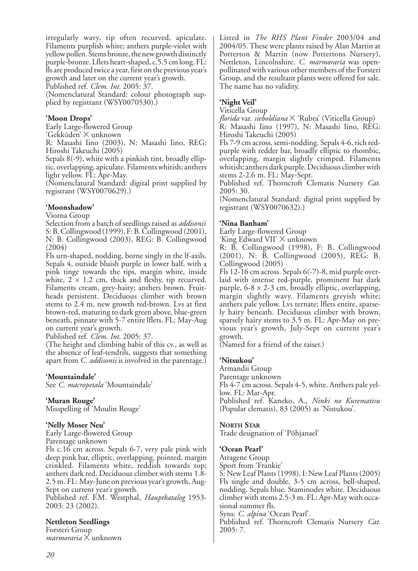irregularly wavy, tip often recurved, apiculate. Filaments purplish white; anthers purple-violet with yellow pollen. Stems bronze, the new growth distinctly purple-bronze. Lflets heart-shaped, c.5.5 cm long. FL: fls are produced twice a year, first on the previous year's growth and later on the current year's growth.

Published ref. *Clem. Int.* 2005: 37.

(Nomenclatural Standard: colour photograph supplied by registrant (WSY0070530).)

#### **'Moon Drops'**

Early Large-flowered Group

'Gekkūden' X unknown

R: Masashi Iino (2003), N: Masashi Iino, REG: Hiroshi Takeuchi (2005)

Sepals 8(-9), white with a pinkish tint, broadly elliptic, overlapping, apiculate. Filaments whitish; anthers light yellow. FL: Apr-May.

(Nomenclatural Standard: digital print supplied by registrant (WSY0070629).)

### **'Moonshadow'**

Viorna Group

Selection from a batch of seedlings raised as *addisonii* S: B. Collingwood (1999), F: B. Collingwood (2001), N: B. Collingwood (2003), REG: B. Collingwood (2004)

Fls urn-shaped, nodding, borne singly in the lf-axils. Sepals 4, outside bluish purple in lower half, with a pink tinge towards the tips, margin white, inside white,  $2 \times 1.2$  cm, thick and fleshy, tip recurved. Filaments cream, grey-hairy; anthers brown. Fruitheads persistent. Deciduous climber with brown stems to 2.4 m, new growth red-brown. Lvs at first brown-red, maturing to dark green above, blue-green beneath, pinnate with 5-7 entire lflets. FL: May-Aug on current year's growth.

Published ref. *Clem. Int.* 2005: 37.

(The height and climbing habit of this cv., as well as the absence of leaf-tendrils, suggests that something apart from *C. addisonii* is involved in the parentage.)

## **'Mountaindale'**

See *C. macropetala* 'Mountaindale'

#### **'Muran Rouge'**

Misspelling of 'Moulin Rouge'

#### **'Nelly Moser Neu'**

Early Large-flowered Group Parentage unknown Fls c.16 cm across. Sepals 6-7, very pale pink with deep pink bar, elliptic, overlapping, pointed, margin crinkled. Filaments white, reddish towards top; anthers dark red. Deciduous climber with stems 1.8- 2.5 m. FL: May-June on previous year's growth, Aug-Sept on current year's growth. Published ref. F.M. Westphal, *Hauptkatalog* 1953- 2003: 23 (2002).

#### **Nettleton Seedlings**

Forsteri Group *marmoraria* X unknown Listed in *The RHS Plant Finder* 2003/04 and 2004/05. These were plants raised by Alan Martin at Potterton & Martin (now Pottertons Nursery), Nettleton, Lincolnshire. *C. marmoraria* was openpollinated with various other members of the Forsteri Group, and the resultant plants were offered for sale. The name has no validity.

## **'Night Veil'**

Viticella Group

*florida* var. *sieboldiana* X 'Rubra' (Viticella Group) R: Masashi Iino (1997), N: Masashi Iino, REG: Hiroshi Takeuchi (2005)

Fls 7-9 cm across, semi-nodding. Sepals 4-6, rich redpurple with redder bar, broadly elliptic to rhombic, overlapping, margin slightly crimped. Filaments whitish; anthers dark purple. Deciduous climber with stems 2-2.6 m. FL: May-Sept.

Published ref. Thorncroft Clematis Nursery *Cat.* 2005: 30.

(Nomenclatural Standard: digital print supplied by registrant (WSY0070632).)

#### **'Nina Banham'**

Early Large-flowered Group

'King Edward VII' X unknown

R: B. Collingwood (1998), F: B. Collingwood (2001), N: B. Collingwood (2005), REG: B. Collingwood (2005)

Fls 12-16 cm across. Sepals 6(-7)-8, mid purple overlaid with intense red-purple, prominent bar dark purple,  $6-8 \times 2-3$  cm, broadly elliptic, overlapping, margin slightly wavy. Filaments greyish white; anthers pale yellow. Lvs ternate; lflets entire, sparsely hairy beneath. Deciduous climber with brown, sparsely hairy stems to 3.5 m. FL: Apr-May on previous year's growth, July-Sept on current year's growth.

(Named for a friend of the raiser.)

#### **'Nitsukou'**

Armandii Group

Parentage unknown

Fls 4-7 cm across. Sepals 4-5, white. Anthers pale yellow. FL: Mar-Apr.

Published ref. Kaneko, A., *Ninki no Kurematisu* (Popular clematis), 83 (2005) as 'Nistukou'.

#### **NORTH STAR**

Trade designation of 'Põhjanael'

#### **'Ocean Pearl'**

Atragene Group

Sport from 'Frankie'

S: New Leaf Plants (1998), I: New Leaf Plants (2005) Fls single and double, 3-5 cm across, bell-shaped, nodding. Sepals blue. Staminodes white. Deciduous climber with stems 2.5-3 m. FL: Apr-May with occasional summer fls.

Syns: *C. alpina* 'Ocean Pearl'.

Published ref. Thorncroft Clematis Nursery *Cat*. 2005: 7.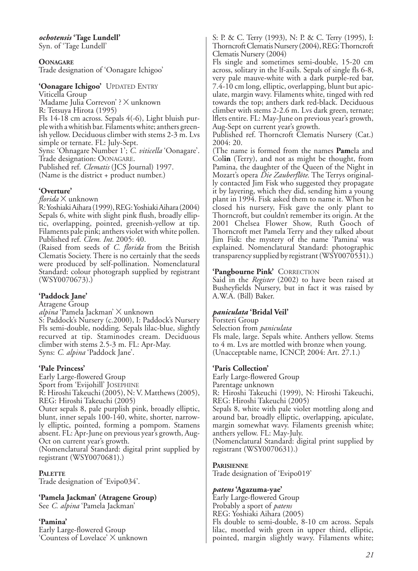*ochotensis* **'Tage Lundell'**

Syn. of 'Tage Lundell'

**OONAGARE** Trade designation of 'Oonagare Ichigoo'

#### **'Oonagare Ichigoo'** UPDATED ENTRY

Viticella Group 'Madame Julia Correvon' ? X unknown R: Tetsuya Hirota (1995) Fls 14-18 cm across. Sepals 4(-6), Light bluish purple with a whitish bar. Filaments white; anthers greenish yellow. Deciduous climber with stems 2-3 m. Lvs simple or ternate. FL: July-Sept. Syns: 'Ohnagare Number 1'; *C. viticella* 'Oonagare'. Trade designation: OONAGARE. Published ref. *Clematis* (JCS Journal) 1997. (Name is the district + product number.)

### **'Overture'**

*florida* X unknown

R: Yoshiaki Aihara (1999), REG: Yoshiaki Aihara (2004) Sepals 6, white with slight pink flush, broadly elliptic, overlapping, pointed, greenish-yellow at tip. Filaments pale pink; anthers violet with white pollen. Published ref. *Clem. Int.* 2005: 40.

(Raised from seeds of *C. florida* from the British Clematis Society. There is no certainly that the seeds were produced by self-pollination. Nomenclatural Standard: colour photograph supplied by registrant (WSY0070673).)

## **'Paddock Jane'**

Atragene Group *alpina* 'Pamela Jackman' X unknown S: Paddock's Nursery (c.2000), I: Paddock's Nursery Fls semi-double, nodding. Sepals lilac-blue, slightly recurved at tip. Staminodes cream. Deciduous climber with stems 2.5-3 m. FL: Apr-May. Syns: *C. alpina* 'Paddock Jane'.

#### **'Pale Princess'**

Early Large-flowered Group Sport from 'Evijohill' JOSEPHINE R: Hiroshi Takeuchi (2005), N: V. Matthews (2005), REG: Hiroshi Takeuchi (2005) Outer sepals 8, pale purplish pink, broadly elliptic, blunt, inner sepals 100-140, white, shorter, narrowly elliptic, pointed, forming a pompom. Stamens absent. FL: Apr-June on previous year's growth, Aug-Oct on current year's growth.

(Nomenclatural Standard: digital print supplied by registrant (WSY0070681).)

## **PALETTE**

Trade designation of 'Evipo034'.

**'Pamela Jackman' (Atragene Group)** See *C. alpina* 'Pamela Jackman'

## **'Pamina'**

Early Large-flowered Group 'Countess of Lovelace' X unknown S: P. & C. Terry (1993), N: P. & C. Terry (1995), I: Thorncroft Clematis Nursery (2004), REG: Thorncroft Clematis Nursery (2004)

Fls single and sometimes semi-double, 15-20 cm across, solitary in the lf-axils. Sepals of single fls 6-8, very pale mauve-white with a dark purple-red bar, 7.4-10 cm long, elliptic, overlapping, blunt but apiculate, margin wavy. Filaments white, tinged with red towards the top; anthers dark red-black. Deciduous climber with stems 2-2.6 m. Lvs dark green, ternate; lflets entire. FL: May-June on previous year's growth, Aug-Sept on current year's growth.

Published ref. Thorncroft Clematis Nursery (Cat.) 2004: 20.

(The name is formed from the names **Pam**ela and Col**in** (Terry), and not as might be thought, from Pamina, the daughter of the Queen of the Night in Mozart's opera *Die Zauberflöte*. The Terrys originally contacted Jim Fisk who suggested they propagate it by layering, which they did, sending him a young plant in 1994. Fisk asked them to name it. When he closed his nursery, Fisk gave the only plant to Thorncroft, but couldn't remember its origin. At the 2001 Chelsea Flower Show, Ruth Gooch of Thorncroft met Pamela Terry and they talked about Jim Fisk: the mystery of the name 'Pamina' was explained. Nomenclatural Standard: photographic transparency supplied by registrant (WSY0070531).)

## **'Pangbourne Pink'** CORRECTION

Said in the *Register* (2002) to have been raised at Busheyfields Nursery, but in fact it was raised by A.W.A. (Bill) Baker.

## *paniculata* **'Bridal Veil'**

Forsteri Group Selection from *paniculata* Fls male, large. Sepals white. Anthers yellow. Stems to 4 m. Lvs are mottled with bronze when young. (Unacceptable name, ICNCP, 2004: Art. 27.1.)

## **'Paris Collection'**

Early Large-flowered Group Parentage unknown R: Hiroshi Takeuchi (1999), N: Hiroshi Takeuchi, REG: Hiroshi Takeuchi (2005) Sepals 8, white with pale violet mottling along and around bar, broadly elliptic, overlapping, apiculate, margin somewhat wavy. Filaments greenish white; anthers yellow. FL: May-July. (Nomenclatural Standard: digital print supplied by registrant (WSY0070631).)

## **PARISIENNE**

Trade designation of 'Evipo019'

## *patens* **'Agazuma-yae'**

Early Large-flowered Group Probably a sport of *patens* REG: Yoshiaki Aihara (2005) Fls double to semi-double, 8-10 cm across. Sepals lilac, mottled with green in upper third, elliptic, pointed, margin slightly wavy. Filaments white;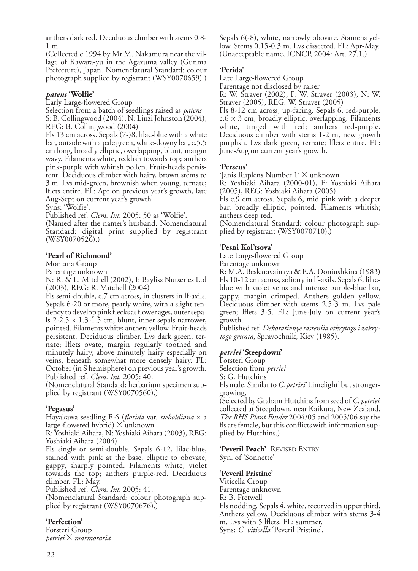anthers dark red. Deciduous climber with stems 0.8- 1 m.

(Collected c.1994 by Mr M. Nakamura near the village of Kawara-yu in the Agazuma valley (Gunma Prefecture), Japan. Nomenclatural Standard: colour photograph supplied by registrant (WSY0070659).)

#### *patens* **'Wolfie'**

Early Large-flowered Group

Selection from a batch of seedlings raised as *patens* S: B. Collingwood (2004), N: Linzi Johnston (2004), REG: B. Collingwood (2004)

Fls 13 cm across. Sepals (7-)8, lilac-blue with a white bar, outside with a pale green, white-downy bar, c.5.5 cm long, broadly elliptic, overlapping, blunt, margin wavy. Filaments white, reddish towards top; anthers pink-purple with whitish pollen. Fruit-heads persistent. Deciduous climber with hairy, brown stems to 3 m. Lvs mid-green, brownish when young, ternate; lflets entire. FL: Apr on previous year's growth, late Aug-Sept on current year's growth

Syns: 'Wolfie'.

Published ref. *Clem. Int.* 2005: 50 as 'Wolfie'.

(Named after the namer's husband. Nomenclatural Standard: digital print supplied by registrant (WSY0070526).)

### **'Pearl of Richmond'**

Montana Group

Parentage unknown

N: R. & L. Mitchell (2002), I: Bayliss Nurseries Ltd (2003), REG: R. Mitchell (2004)

Fls semi-double, c.7 cm across, in clusters in lf-axils. Sepals 6-20 or more, pearly white, with a slight tendency to develop pink flecks as flower ages, outer sepals 2-2.5  $\times$  1.3-1.5 cm, blunt, inner sepals narrower, pointed. Filaments white; anthers yellow. Fruit-heads persistent. Deciduous climber. Lvs dark green, ternate; lflets ovate, margin regularly toothed and minutely hairy, above minutely hairy especially on veins, beneath somewhat more densely hairy. FL: October (in S hemisphere) on previous year's growth. Published ref. *Clem. Int.* 2005: 40.

(Nomenclatural Standard: herbarium specimen supplied by registrant (WSY0070560).)

#### **'Pegasus'**

Hayakawa seedling F-6 (*florida* var. *sieboldiana* x a large-flowered hybrid)  $\times$  unknown

R: Yoshiaki Aihara, N: Yoshiaki Aihara (2003), REG: Yoshiaki Aihara (2004)

Fls single or semi-double. Sepals 6-12, lilac-blue, stained with pink at the base, elliptic to obovate, gappy, sharply pointed. Filaments white, violet towards the top; anthers purple-red. Deciduous climber. FL: May.

Published ref. *Clem. Int.* 2005: 41.

(Nomenclatural Standard: colour photograph supplied by registrant (WSY0070676).)

## **'Perfection'**

Forsteri Group *petriei* X *marmoraria* Sepals 6(-8), white, narrowly obovate. Stamens yellow. Stems 0.15-0.3 m. Lvs dissected. FL: Apr-May. (Unacceptable name, ICNCP, 2004: Art. 27.1.)

### **'Perida'**

Late Large-flowered Group

Parentage not disclosed by raiser

R: W. Straver (2002), F: W. Straver (2003), N: W. Straver (2005), REG: W. Straver (2005)

Fls 8-12 cm across, up-facing. Sepals 6, red-purple,  $c.6 \times 3$  cm, broadly elliptic, overlapping. Filaments white, tinged with red; anthers red-purple. Deciduous climber with stems 1-2 m, new growth purplish. Lvs dark green, ternate; lflets entire. FL: June-Aug on current year's growth.

### **'Perseus'**

'Janis Ruplens Number 1' X unknown

R: Yoshiaki Aihara (2000-01), F: Yoshiaki Aihara (2005), REG: Yoshiaki Aihara (2005)

Fls c.9 cm across. Sepals 6, mid pink with a deeper bar, broadly elliptic, pointed. Filaments whitish; anthers deep red.

(Nomenclatural Standard: colour photograph supplied by registrant (WSY0070710).)

### **'Pesni Kol'tsova'**

Late Large-flowered Group

Parentage unknown

R: M.A. Beskaravainaya & E.A. Doniushkina (1983) Fls 10-12 cm across, solitary in lf-axils. Sepals 6, lilacblue with violet veins and intense purple-blue bar, gappy, margin crimped. Anthers golden yellow. Deciduous climber with stems 2.5-3 m. Lvs pale green; lflets 3-5. FL: June-July on current year's growth.

Published ref. *Dekorativnye rasteniia otkrytogo i zakrytogo grunta*, Spravochnik, Kiev (1985).

## *petriei* **'Steepdown'**

Forsteri Group Selection from *petriei* S: G. Hutchins Fls male. Similar to *C. petriei*'Limelight' but strongergrowing.

(Selected by Graham Hutchins from seed of *C. petriei* collected at Steepdown, near Kaikura, New Zealand. *The RHS Plant Finder* 2004/05 and 2005/06 say the fls are female, but this conflicts with information supplied by Hutchins.)

**'Peveril Peach'** REVISED ENTRY Syn. of 'Sonnette'

## **'Peveril Pristine'**

Viticella Group Parentage unknown R: B. Fretwell Fls nodding. Sepals 4, white, recurved in upper third. Anthers yellow. Deciduous climber with stems 3-4 m. Lvs with 5 lflets. FL: summer. Syns: *C. viticella* 'Peveril Pristine'.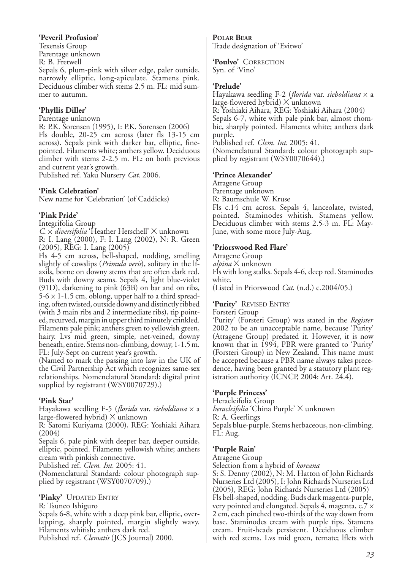#### **'Peveril Profusion'**

Texensis Group Parentage unknown R: B. Fretwell Sepals 6, plum-pink with silver edge, paler outside, narrowly elliptic, long-apiculate. Stamens pink. Deciduous climber with stems 2.5 m. FL: mid summer to autumn.

## **'Phyllis Diller'**

Parentage unknown

R: P.K. Sorensen (1995), I: P.K. Sorensen (2006) Fls double, 20-25 cm across (later fls 13-15 cm across). Sepals pink with darker bar, elliptic, finepointed. Filaments white; anthers yellow. Deciduous climber with stems 2-2.5 m. FL: on both previous and current year's growth.

Published ref. Yaku Nursery *Cat.* 2006.

#### **'Pink Celebration'**

New name for 'Celebration' (of Caddicks)

### **'Pink Pride'**

Integrifolia Group

*C*. x *diversifolia* 'Heather Herschell' X unknown R: I. Lang (2000), F: I. Lang (2002), N: R. Green (2005), REG: I. Lang (2005)

Fls 4-5 cm across, bell-shaped, nodding, smelling slightly of cowslips (*Primula veris*), solitary in the lfaxils, borne on downy stems that are often dark red. Buds with downy seams. Sepals 4, light blue-violet (91D), darkening to pink (63B) on bar and on ribs,  $5-6 \times 1-1.5$  cm, oblong, upper half to a third spreading, often twisted, outside downy and distinctly ribbed (with 3 main ribs and 2 intermediate ribs), tip pointed, recurved, margin in upper third minutely crinkled. Filaments pale pink; anthers green to yellowish green, hairy. Lvs mid green, simple, net-veined, downy beneath, entire. Stems non-climbing, downy, 1-1.5 m. FL: July-Sept on current year's growth.

(Named to mark the passing into law in the UK of the Civil Partnership Act which recognizes same-sex relationships. Nomenclatural Standard: digital print supplied by registrant (WSY0070729).)

#### **'Pink Star'**

Hayakawa seedling F-5 (*florida* var. *sieboldiana* x a large-flowered hybrid) X unknown

R: Satomi Kuriyama (2000), REG: Yoshiaki Aihara (2004)

Sepals 6, pale pink with deeper bar, deeper outside, elliptic, pointed. Filaments yellowish white; anthers cream with pinkish connective.

Published ref. *Clem. Int.* 2005: 41.

(Nomenclatural Standard: colour photograph supplied by registrant (WSY0070709).)

#### **'Pinky'** UPDATED ENTRY

R: Tsuneo Ishiguro

Sepals 6-8, white with a deep pink bar, elliptic, overlapping, sharply pointed, margin slightly wavy. Filaments whitish; anthers dark red. Published ref. *Clematis* (JCS Journal) 2000.

**POLAR BEAR** Trade designation of 'Evitwo'

**'Poulvo'** CORRECTION Syn. of 'Vino'

#### **'Prelude'**

Hayakawa seedling F-2 (*florida* var. *sieboldiana* x a large-flowered hybrid) X unknown R: Yoshiaki Aihara, REG: Yoshiaki Aihara (2004) Sepals 6-7, white with pale pink bar, almost rhombic, sharply pointed. Filaments white; anthers dark purple. Published ref. *Clem. Int.* 2005: 41. (Nomenclatural Standard: colour photograph supplied by registrant (WSY0070644).)

#### **'Prince Alexander'**

Atragene Group Parentage unknown R: Baumschule W. Kruse Fls c.14 cm across. Sepals 4, lanceolate, twisted, pointed. Staminodes whitish. Stamens yellow. Deciduous climber with stems 2.5-3 m. FL: May-June, with some more July-Aug.

#### **'Priorswood Red Flare'**

Atragene Group *alpina* X unknown Fls with long stalks. Sepals 4-6, deep red. Staminodes white. (Listed in Priorswood *Cat*. (n.d.) c.2004/05.)

#### **'Purity'** REVISED ENTRY

Forsteri Group

'Purity' (Forsteri Group) was stated in the *Register* 2002 to be an unacceptable name, because 'Purity' (Atragene Group) predated it. However, it is now known that in 1994, PBR were granted to 'Purity' (Forsteri Group) in New Zealand. This name must be accepted because a PBR name always takes precedence, having been granted by a statutory plant registration authority (ICNCP, 2004: Art. 24.4).

#### **'Purple Princess'**

Heracleifolia Group *heracleifolia* 'China Purple' X unknown R: A. Geerlings Sepals blue-purple. Stems herbaceous, non-climbing. FL: Aug.

#### **'Purple Rain'**

Atragene Group

Selection from a hybrid of *koreana*

S: S. Denny (2002), N: M. Hatton of John Richards Nurseries Ltd (2005), I: John Richards Nurseries Ltd (2005), REG: John Richards Nurseries Ltd (2005) Fls bell-shaped, nodding. Buds dark magenta-purple, very pointed and elongated. Sepals 4, magenta, c.7  $\times$ 2 cm, each pinched two-thirds of the way down from base. Staminodes cream with purple tips. Stamens cream. Fruit-heads persistent. Deciduous climber with red stems. Lvs mid green, ternate; lflets with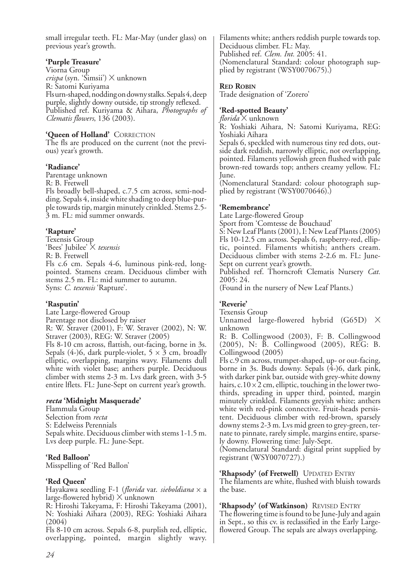small irregular teeth. FL: Mar-May (under glass) on previous year's growth.

#### **'Purple Treasure'**

Viorna Group *crispa* (syn. 'Simsii') X unknown R: Satomi Kuriyama Fls urn-shaped, nodding on downy stalks. Sepals 4, deep purple, slightly downy outside, tip strongly reflexed. Published ref. Kuriyama & Aihara, *Photographs of Clematis flowers*, 136 (2003).

#### **'Queen of Holland'** CORRECTION

The fls are produced on the current (not the previous) year's growth.

#### **'Radiance'**

Parentage unknown R: B. Fretwell Fls broadly bell-shaped, c.7.5 cm across, semi-nodding. Sepals 4, inside white shading to deep blue-purple towards tip, margin minutely crinkled. Stems 2.5- 3 m. FL: mid summer onwards.

### **'Rapture'**

Texensis Group 'Bees' Jubilee' X *texensis* R: B. Fretwell Fls c.6 cm. Sepals 4-6, luminous pink-red, longpointed. Stamens cream. Deciduous climber with stems 2.5 m. FL: mid summer to autumn. Syns: *C. texensis* 'Rapture'.

#### **'Rasputin'**

Late Large-flowered Group Parentage not disclosed by raiser R: W. Straver (2001), F: W. Straver (2002), N: W. Straver (2003), REG: W. Straver (2005) Fls 8-10 cm across, flattish, out-facing, borne in 3s. Sepals (4-)6, dark purple-violet,  $5 \times 3$  cm, broadly elliptic, overlapping, margins wavy. Filaments dull white with violet base; anthers purple. Deciduous climber with stems 2-3 m. Lvs dark green, with 3-5 entire lflets. FL: June-Sept on current year's growth.

#### *recta* **'Midnight Masquerade'**

Flammula Group Selection from *recta* S: Edelweiss Perennials Sepals white. Deciduous climber with stems 1-1.5 m. Lvs deep purple. FL: June-Sept.

**'Red Balloon'** Misspelling of 'Red Ballon'

## **'Red Queen'**

Hayakawa seedling F-1 (*florida* var. *sieboldiana* x a large-flowered hybrid) X unknown

R: Hiroshi Takeyama, F: Hiroshi Takeyama (2001), N: Yoshiaki Aihara (2003), REG: Yoshiaki Aihara (2004)

Fls 8-10 cm across. Sepals 6-8, purplish red, elliptic, overlapping, pointed, margin slightly wavy.

Filaments white; anthers reddish purple towards top. Deciduous climber. FL: May. Published ref. *Clem. Int.* 2005: 41. (Nomenclatural Standard: colour photograph supplied by registrant (WSY0070675).)

### **RED ROBIN**

Trade designation of 'Zorero'

## **'Red-spotted Beauty'**

*florida* X unknown

R: Yoshiaki Aihara, N: Satomi Kuriyama, REG: Yoshiaki Aihara

Sepals 6, speckled with numerous tiny red dots, outside dark reddish, narrowly elliptic, not overlapping, pointed. Filaments yellowish green flushed with pale brown-red towards top; anthers creamy yellow. FL: June.

(Nomenclatural Standard: colour photograph supplied by registrant (WSY0070646).)

## **'Remembrance'**

Late Large-flowered Group Sport from 'Comtesse de Bouchaud'

S: New Leaf Plants (2001), I: New Leaf Plants (2005) Fls 10-12.5 cm across. Sepals 6, raspberry-red, elliptic, pointed. Filaments whitish; anthers cream. Deciduous climber with stems 2-2.6 m. FL: June-Sept on current year's growth.

Published ref. Thorncroft Clematis Nursery *Cat.* 2005: 24.

(Found in the nursery of New Leaf Plants.)

## **'Reverie'**

Texensis Group

Unnamed large-flowered hybrid (G65D) X unknown

R: B. Collingwood (2003), F: B. Collingwood (2005), N: B. Collingwood (2005), REG: B. Collingwood (2005)

Fls c.9 cm across, trumpet-shaped, up- or out-facing, borne in 3s. Buds downy. Sepals  $(4-)6$ , dark pink, with darker pink bar, outside with grey-white downy hairs, c.10  $\times$  2 cm, elliptic, touching in the lower twothirds, spreading in upper third, pointed, margin minutely crinkled. Filaments greyish white; anthers white with red-pink connective. Fruit-heads persistent. Deciduous climber with red-brown, sparsely downy stems 2-3 m. Lvs mid green to grey-green, ternate to pinnate, rarely simple, margins entire, sparsely downy. Flowering time: July-Sept.

(Nomenclatural Standard: digital print supplied by registrant (WSY0070727).)

## **'Rhapsody' (of Fretwell)** UPDATED ENTRY

The filaments are white, flushed with bluish towards the base.

**'Rhapsody' (of Watkinson)** REVISED ENTRY The flowering time is found to be June-July and again in Sept., so this cv. is reclassified in the Early Largeflowered Group. The sepals are always overlapping.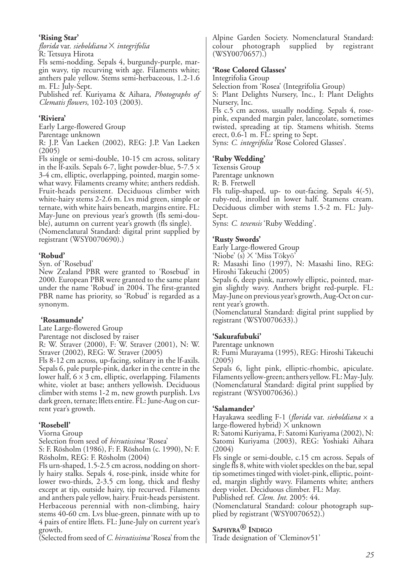#### **'Rising Star'**

*florida* var. *sieboldiana* X *integrifolia* R: Tetsuya Hirota

Fls semi-nodding. Sepals 4, burgundy-purple, margin wavy, tip recurving with age. Filaments white; anthers pale yellow. Stems semi-herbaceous, 1.2-1.6 m. FL: July-Sept.

Published ref. Kuriyama & Aihara, *Photographs of Clematis flowers*, 102-103 (2003).

## **'Riviera'**

Early Large-flowered Group

Parentage unknown

R: J.P. Van Laeken (2002), REG: J.P. Van Laeken  $(2005)$ 

Fls single or semi-double, 10-15 cm across, solitary in the If-axils. Sepals 6-7, light powder-blue,  $5-7.5 \times$ 3-4 cm, elliptic, overlapping, pointed, margin somewhat wavy. Filaments creamy white; anthers reddish. Fruit-heads persistent. Deciduous climber with white-hairy stems 2-2.6 m. Lvs mid green, simple or ternate, with white hairs beneath, margins entire. FL: May-June on previous year's growth (fls semi-double), autumn on current year's growth (fls single). (Nomenclatural Standard: digital print supplied by

registrant (WSY0070690).)

## **'Robud'**

Syn. of 'Rosebud'

New Zealand PBR were granted to 'Rosebud' in 2000. European PBR were granted to the same plant under the name 'Robud' in 2004. The first-granted PBR name has priority, so 'Robud' is regarded as a synonym.

## **'Rosamunde'**

Late Large-flowered Group

Parentage not disclosed by raiser

R: W. Straver (2000), F: W. Straver (2001), N: W. Straver (2002), REG: W. Straver (2005)

Fls 8-12 cm across, up-facing, solitary in the lf-axils. Sepals 6, pale purple-pink, darker in the centre in the lower half,  $6 \times 3$  cm, elliptic, overlapping. Filaments white, violet at base; anthers yellowish. Deciduous climber with stems 1-2 m, new growth purplish. Lvs dark green, ternate; lflets entire. FL: June-Aug on current year's growth.

## **'Rosebell'**

Viorna Group

Selection from seed of *hirsutissima* 'Rosea'

S: F. Rösholm (1986), F: F. Rösholm (c. 1990), N: F. Rösholm, REG: F. Rösholm (2004)

Fls urn-shaped, 1.5-2.5 cm across, nodding on shortly hairy stalks. Sepals 4, rose-pink, inside white for lower two-thirds, 2-3.5 cm long, thick and fleshy except at tip, outside hairy, tip recurved. Filaments and anthers pale yellow, hairy. Fruit-heads persistent. Herbaceous perennial with non-climbing, hairy stems 40-60 cm. Lvs blue-green, pinnate with up to 4 pairs of entire lflets. FL: June-July on current year's growth.

(Selected from seed of *C. hirsutissima* 'Rosea' from the

Alpine Garden Society. Nomenclatural Standard: photograph supplied by registrant (WSY0070657).)

## **'Rose Colored Glasses'**

Integrifolia Group

Selection from 'Rosea' (Integrifolia Group)

S: Plant Delights Nursery, Inc., I: Plant Delights Nursery, Inc.

Fls c.5 cm across, usually nodding. Sepals 4, rosepink, expanded margin paler, lanceolate, sometimes twisted, spreading at tip. Stamens whitish. Stems erect, 0.6-1 m. FL: spring to Sept. Syns: *C. integrifolia* 'Rose Colored Glasses'.

## **'Ruby Wedding'**

Texensis Group

Parentage unknown

R: B. Fretwell

Fls tulip-shaped, up- to out-facing. Sepals 4(-5), ruby-red, inrolled in lower half. Stamens cream. Deciduous climber with stems 1.5-2 m. FL: July-Sept.

Syns: *C. texensis* 'Ruby Wedding'.

## **'Rusty Swords'**

Early Large-flowered Group

'Niobe' (s) X 'Miss Tōkyō'

R: Masashi Iino (1997), N: Masashi Iino, REG: Hiroshi Takeuchi (2005)

Sepals 6, deep pink, narrowly elliptic, pointed, margin slightly wavy. Anthers bright red-purple. FL: May-June on previous year's growth, Aug-Oct on current year's growth.

(Nomenclatural Standard: digital print supplied by registrant (WSY0070633).)

## **'Sakurafubuki'**

#### Parentage unknown

R: Fumi Murayama (1995), REG: Hiroshi Takeuchi (2005)

Sepals 6, light pink, elliptic-rhombic, apiculate. Filaments yellow-green; anthers yellow. FL: May-July. (Nomenclatural Standard: digital print supplied by registrant (WSY0070636).)

#### **'Salamander'**

Hayakawa seedling F-1 (*florida* var. *sieboldiana* x a large-flowered hybrid) X unknown

R: Satomi Kuriyama, F: Satomi Kuriyama (2002), N: Satomi Kuriyama (2003), REG: Yoshiaki Aihara (2004)

Fls single or semi-double, c.15 cm across. Sepals of single fls 8, white with violet speckles on the bar, sepal tip sometimes tinged with violet-pink, elliptic, pointed, margin slightly wavy. Filaments white; anthers deep violet. Deciduous climber. FL: May.

Published ref. *Clem. Int.* 2005: 44.

(Nomenclatural Standard: colour photograph supplied by registrant (WSY0070652).)

## **SAPHYRA® INDIGO**

Trade designation of 'Cleminov51'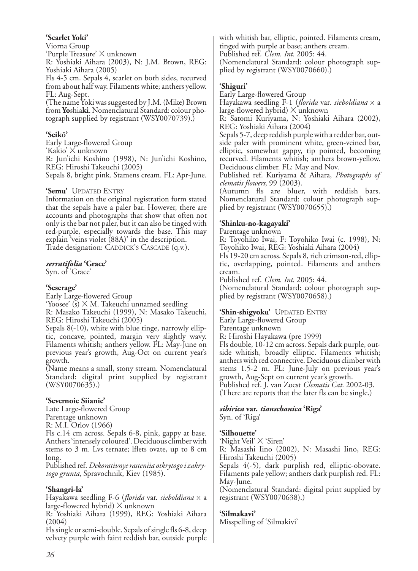## **'Scarlet Yoki'**

Viorna Group

'Purple Treasure' X unknown

R: Yoshiaki Aihara (2003), N: J.M. Brown, REG: Yoshiaki Aihara (2005)

Fls 4-5 cm. Sepals 4, scarlet on both sides, recurved from about half way. Filaments white; anthers yellow. FL: Aug-Sept.

(The name Yoki was suggested by J.M. (Mike) Brown from **Yo**shia**ki**. Nomenclatural Standard: colour photograph supplied by registrant (WSY0070739).)

## **'Seikō'**

Early Large-flowered Group 'Kakio' X unknown R: Jun'ichi Koshino (1998), N: Jun'ichi Koshino, REG: Hiroshi Takeuchi (2005) Sepals 8, bright pink. Stamens cream. FL: Apr-June.

### **'Semu'** UPDATED ENTRY

Information on the original registration form stated that the sepals have a paler bar. However, there are accounts and photographs that show that often not only is the bar not paler, but it can also be tinged with red-purple, especially towards the base. This may explain 'veins violet (88A)' in the description. Trade designation: CADDICK'S CASCADE (q.v.).

#### *serratifolia* **'Grace'**

Syn. of 'Grace'

## **'Seserage'**

Early Large-flowered Group 'Yoosee'  $(s)$   $\times$  M. Takeuchi unnamed seedling R: Masako Takeuchi (1999), N: Masako Takeuchi, REG: Hiroshi Takeuchi (2005)

Sepals 8(-10), white with blue tinge, narrowly elliptic, concave, pointed, margin very slightly wavy. Filaments whitish; anthers yellow. FL: May-June on previous year's growth, Aug-Oct on current year's growth.

(Name means a small, stony stream. Nomenclatural Standard: digital print supplied by registrant (WSY0070635).)

## **'Severnoie Siianie'**

Late Large-flowered Group Parentage unknown R: M.I. Orlov (1966)

Fls c.14 cm across. Sepals 6-8, pink, gappy at base. Anthers 'intensely coloured'. Deciduous climber with stems to 3 m. Lvs ternate; lflets ovate, up to 8 cm long.

Published ref. *Dekorativnye rasteniia otkrytogo i zakrytogo grunta*, Spravochnik, Kiev (1985).

## **'Shangri-la'**

Hayakawa seedling F-6 (*florida* var. *sieboldiana* x a large-flowered hybrid)  $\times$  unknown

R: Yoshiaki Aihara (1999), REG: Yoshiaki Aihara (2004)

Fls single or semi-double. Sepals of single fls 6-8, deep velvety purple with faint reddish bar, outside purple

with whitish bar, elliptic, pointed. Filaments cream, tinged with purple at base; anthers cream. Published ref. *Clem. Int.* 2005: 44. (Nomenclatural Standard: colour photograph supplied by registrant (WSY0070660).)

## **'Shiguri'**

Early Large-flowered Group

Hayakawa seedling F-1 (*florida* var. *sieboldiana* x a large-flowered hybrid)  $\times$  unknown

R: Satomi Kuriyama, N: Yoshiaki Aihara (2002), REG: Yoshiaki Aihara (2004)

Sepals 5-7, deep reddish purple with a redder bar, outside paler with prominent white, green-veined bar, elliptic, somewhat gappy, tip pointed, becoming recurved. Filaments whitish; anthers brown-yellow. Deciduous climber. FL: May and Nov.

Published ref. Kuriyama & Aihara, *Photographs of clematis flowers*, 99 (2003).

(Autumn fls are bluer, with reddish bars. Nomenclatural Standard: colour photograph supplied by registrant (WSY0070655).)

## **'Shinku-no-kagayaki'**

Parentage unknown

R: Toyohiko Iwai, F: Toyohiko Iwai (c. 1998), N: Toyohiko Iwai, REG: Yoshiaki Aihara (2004)

Fls 19-20 cm across. Sepals 8, rich crimson-red, elliptic, overlapping, pointed. Filaments and anthers cream.

Published ref. *Clem. Int.* 2005: 44.

(Nomenclatural Standard: colour photograph supplied by registrant (WSY0070658).)

#### **'Shin-shigyoku'** UPDATED ENTRY

Early Large-flowered Group

Parentage unknown

R: Hiroshi Hayakawa (pre 1999)

Fls double, 10-12 cm across. Sepals dark purple, outside whitish, broadly elliptic. Filaments whitish; anthers with red connective. Deciduous climber with stems 1.5-2 m. FL: June-July on previous year's growth, Aug-Sept on current year's growth. Published ref. J. van Zoest *Clematis Cat.* 2002-03. (There are reports that the later fls can be single.)

## *sibirica* **var.** *tianschanica* **'Riga'**

Syn. of 'Riga'

## **'Silhouette'**

'Night Veil' X 'Siren'

R: Masashi Iino (2002), N: Masashi Iino, REG: Hiroshi Takeuchi (2005)

Sepals 4(-5), dark purplish red, elliptic-obovate. Filaments pale yellow; anthers dark purplish red. FL: May-June.

(Nomenclatural Standard: digital print supplied by registrant (WSY0070638).)

## **'Silmakavi'**

Misspelling of 'Silmakivi'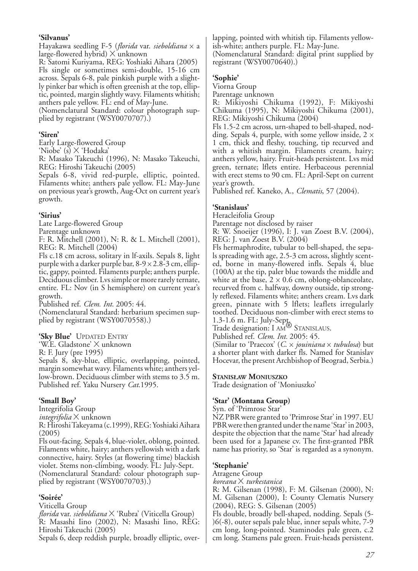#### **'Silvanus'**

Hayakawa seedling F-5 (*florida* var. *sieboldiana* x a large-flowered hybrid)  $\times$  unknown

R: Satomi Kuriyama, REG: Yoshiaki Aihara (2005) Fls single or sometimes semi-double, 15-16 cm across. Sepals 6-8, pale pinkish purple with a slightly pinker bar which is often greenish at the top, elliptic, pointed, margin slightly wavy. Filaments whitish; anthers pale yellow. FL: end of May-June.

(Nomenclatural Standard: colour photograph supplied by registrant (WSY0070707).)

#### **'Siren'**

Early Large-flowered Group

'Niobe' (s) X 'Hodaka'

R: Masako Takeuchi (1996), N: Masako Takeuchi, REG: Hiroshi Takeuchi (2005)

Sepals 6-8, vivid red-purple, elliptic, pointed. Filaments white; anthers pale yellow. FL: May-June on previous year's growth, Aug-Oct on current year's growth.

#### **'Sirius'**

Late Large-flowered Group

Parentage unknown F: R. Mitchell (2001), N: R. & L. Mitchell (2001),

REG: R. Mitchell (2004)

Fls c.18 cm across, solitary in lf-axils. Sepals 8, light purple with a darker purple bar,  $8-9 \times 2.8-3$  cm, elliptic, gappy, pointed. Filaments purple; anthers purple. Deciduous climber. Lvs simple or more rarely ternate, entire. FL: Nov (in S hemisphere) on current year's growth.

Published ref. *Clem. Int.* 2005: 44. (Nomenclatural Standard: herbarium specimen supplied by registrant (WSY0070558).)

**'Sky Blue'** UPDATED ENTRY

'W.E. Gladstone' X unknown

R: F. Jury (pre 1995)

Sepals 8, sky-blue, elliptic, overlapping, pointed, margin somewhat wavy. Filaments white; anthers yellow-brown. Deciduous climber with stems to 3.5 m. Published ref. Yaku Nursery *Cat*.1995.

#### **'Small Boy'**

Integrifolia Group

*integrifolia* X unknown

R: Hiroshi Takeyama (c.1999), REG: Yoshiaki Aihara (2005)

Fls out-facing. Sepals 4, blue-violet, oblong, pointed. Filaments white, hairy; anthers yellowish with a dark connective, hairy. Styles (at flowering time) blackish violet. Stems non-climbing, woody. FL: July-Sept. (Nomenclatural Standard: colour photograph supplied by registrant (WSY0070703).)

## **'Soirée'**

Viticella Group

*florida* var. *sieboldiana* X 'Rubra' (Viticella Group) R: Masashi Iino (2002), N: Masashi Iino, REG: Hiroshi Takeuchi (2005)

Sepals 6, deep reddish purple, broadly elliptic, over-

lapping, pointed with whitish tip. Filaments yellowish-white; anthers purple. FL: May-June.

(Nomenclatural Standard: digital print supplied by registrant (WSY0070640).)

## **'Sophie'**

Viorna Group

Parentage unknown

R: Mikiyoshi Chikuma (1992), F: Mikiyoshi Chikuma (1995), N: Mikiyoshi Chikuma (2001), REG: Mikiyoshi Chikuma (2004)

Fls 1.5-2 cm across, urn-shaped to bell-shaped, nodding. Sepals 4, purple, with some yellow inside,  $2 \times$ 1 cm, thick and fleshy, touching, tip recurved and with a whitish margin. Filaments cream, hairy; anthers yellow, hairy. Fruit-heads persistent. Lvs mid green, ternate; lflets entire. Herbaceous perennial with erect stems to 90 cm. FL: April-Sept on current year's growth.

Published ref. Kaneko, A., *Clematis*, 57 (2004).

## **'Stanislaus'**

Heracleifolia Group

Parentage not disclosed by raiser

R: W. Snoeijer (1996), I: J. van Zoest B.V. (2004),

REG: J. van Zoest B.V. (2004)

Fls hermaphrodite, tubular to bell-shaped, the sepals spreading with age, 2.5-3 cm across, slightly scented, borne in many-flowered infls. Sepals 4, blue (100A) at the tip, paler blue towards the middle and white at the base,  $2 \times 0.6$  cm, oblong-oblanceolate, recurved from c. halfway, downy outside, tip strongly reflexed. Filaments white; anthers cream. Lvs dark green, pinnate with 5 lflets; leaflets irregularly toothed. Deciduous non-climber with erect stems to

1.3-1.6 m. FL: July-Sept. Trade designation: I AM® STANISLAUS. Published ref. *Clem. Int.* 2005: 45.

(Similar to 'Praecox' (*C*. x *jouiniana* x *tubulosa*) but a shorter plant with darker fls. Named for Stanislav Hocevar, the present Archbishop of Beograd, Serbia.)

#### **STANISŁAW MONIUSZKO**

Trade designation of 'Moniuszko'

#### **'Star' (Montana Group)**

Syn. of 'Primrose Star'

NZ PBR were granted to 'Primrose Star' in 1997. EU PBR were then granted under the name 'Star' in 2003, despite the objection that the name 'Star' had already been used for a Japanese cv. The first-granted PBR name has priority, so 'Star' is regarded as a synonym.

## **'Stephanie'**

Atragene Group

*koreana* X *turkestanica*

R: M. Gilsenan (1998), F: M. Gilsenan (2000), N: M. Gilsenan (2000), I: County Clematis Nursery (2004), REG: S. Gilsenan (2005)

Fls double, broadly bell-shaped, nodding. Sepals (5- )6(-8), outer sepals pale blue, inner sepals white, 7-9 cm long, long-pointed. Staminodes pale green, c.2 cm long. Stamens pale green. Fruit-heads persistent.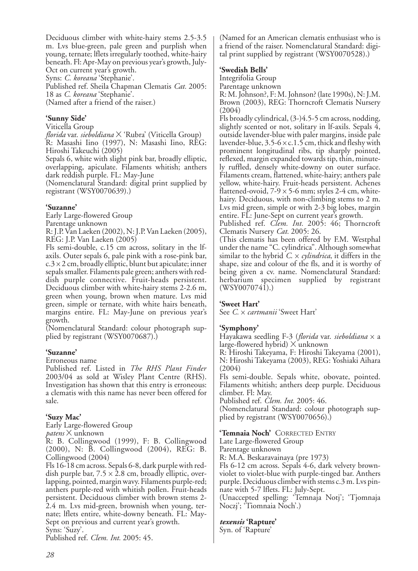Deciduous climber with white-hairy stems 2.5-3.5 m. Lvs blue-green, pale green and purplish when young, ternate; lflets irregularly toothed, white-hairy beneath. Fl: Apr-May on previous year's growth, July-

Oct on current year's growth. Syns: *C. koreana* 'Stephanie'.

Published ref. Sheila Chapman Clematis *Cat.* 2005: 18 as *C. koreana* 'Stephanie'.

(Named after a friend of the raiser.)

#### **'Sunny Side'**

Viticella Group

*florida* var. *sieboldiana* X 'Rubra' (Viticella Group) R: Masashi Iino (1997), N: Masashi Iino, REG: Hiroshi Takeuchi (2005)

Sepals 6, white with slight pink bar, broadly elliptic, overlapping, apiculate. Filaments whitish; anthers dark reddish purple. FL: May-June

(Nomenclatural Standard: digital print supplied by registrant (WSY0070639).)

### **'Suzanne'**

Early Large-flowered Group

Parentage unknown

R: J.P. Van Laeken (2002), N: J.P. Van Laeken (2005), REG: J.P. Van Laeken (2005)

Fls semi-double, c.15 cm across, solitary in the lfaxils. Outer sepals 6, pale pink with a rose-pink bar,  $c.3 \times 2$  cm, broadly elliptic, blunt but apiculate; inner sepals smaller. Filaments pale green; anthers with reddish purple connective. Fruit-heads persistent. Deciduous climber with white-hairy stems 2-2.6 m, green when young, brown when mature. Lvs mid green, simple or ternate, with white hairs beneath, margins entire. FL: May-June on previous year's growth.

(Nomenclatural Standard: colour photograph supplied by registrant (WSY0070687).)

#### **'Suzanne'**

Erroneous name

Published ref. Listed in *The RHS Plant Finder* 2003/04 as sold at Wisley Plant Centre (RHS). Investigation has shown that this entry is erroneous: a clematis with this name has never been offered for sale.

## **'Suzy Mac'**

Early Large-flowered Group *patens* X unknown

R: B. Collingwood (1999), F: B. Collingwood (2000), N: B. Collingwood (2004), REG: B. Collingwood (2004)

Fls 16-18 cm across. Sepals 6-8, dark purple with reddish purple bar,  $7.5 \times 2.8$  cm, broadly elliptic, overlapping, pointed, margin wavy. Filaments purple-red; anthers purple-red with whitish pollen. Fruit-heads persistent. Deciduous climber with brown stems 2- 2.4 m. Lvs mid-green, brownish when young, ternate; lflets entire, white-downy beneath. FL: May-Sept on previous and current year's growth.

Syns: 'Suzy'.

Published ref. *Clem. Int.* 2005: 45.

(Named for an American clematis enthusiast who is a friend of the raiser. Nomenclatural Standard: digital print supplied by registrant (WSY0070528).)

#### **'Swedish Bells'**

Integrifolia Group

Parentage unknown

R: M. Johnson?, F: M. Johnson? (late 1990s), N: J.M. Brown (2003), REG: Thorncroft Clematis Nursery (2004)

Fls broadly cylindrical, (3-)4.5-5 cm across, nodding, slightly scented or not, solitary in If-axils. Sepals  $\bar{4}$ , outside lavender-blue with paler margins, inside pale lavender-blue,  $3.5-6 \times c.1.5$  cm, thick and fleshy with prominent longitudinal ribs, tip sharply pointed, reflexed, margin expanded towards tip, thin, minutely ruffled, densely white-downy on outer surface. Filaments cream, flattened, white-hairy; anthers pale yellow, white-hairy. Fruit-heads persistent. Achenes flattened-ovoid,  $7-9 \times 5-6$  mm; styles 2-4 cm, whitehairy. Deciduous, with non-climbing stems to 2 m. Lvs mid green, simple or with 2-3 big lobes, margin entire. FL: June-Sept on current year's growth.

Published ref. *Clem. Int.* 2005: 46; Thorncroft Clematis Nursery *Cat.* 2005: 26.

(This clematis has been offered by F.M. Westphal under the name "C. cylindrica". Although somewhat similar to the hybrid *C*. x *cylindrica*, it differs in the shape, size and colour of the fls, and it is worthy of being given a cv. name. Nomenclatural Standard: herbarium specimen supplied by registrant  $(WSY0070741).$ 

#### **'Sweet Hart'**

See *C.* x *cartmanii* 'Sweet Hart'

#### **'Symphony'**

Hayakawa seedling F-3 (*florida* var. *sieboldiana* x a large-flowered hybrid) X unknown

R: Hiroshi Takeyama, F: Hiroshi Takeyama (2001), N: Hiroshi Takeyama (2003), REG: Yoshiaki Aihara (2004)

Fls semi-double. Sepals white, obovate, pointed. Filaments whitish; anthers deep purple. Deciduous climber. Fl: May.

Published ref. *Clem. Int.* 2005: 46.

(Nomenclatural Standard: colour photograph supplied by registrant (WSY0070656).)

#### **'Temnaia Noch'** CORRECTED ENTRY

Late Large-flowered Group Parentage unknown

R: M.A. Beskaravainaya (pre 1973)

Fls 6-12 cm across. Sepals 4-6, dark velvety brownviolet to violet-blue with purple-tinged bar. Anthers purple. Deciduous climber with stems c.3 m. Lvs pinnate with 5-7 lflets. FL: July-Sept.

(Unaccepted spelling: 'Temnaja Notj'; 'Tjomnaja Noczj'; 'Tiomnaia Noch'.)

#### *texensis* **'Rapture'**

Syn. of 'Rapture'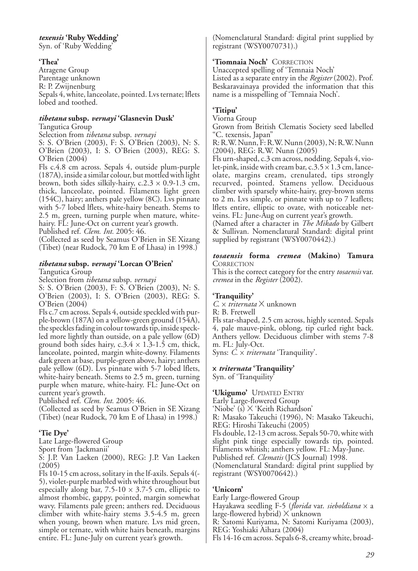#### *texensis* **'Ruby Wedding'**

Syn. of 'Ruby Wedding'

#### **'Thea'**

Atragene Group Parentage unknown R: P. Zwijnenburg Sepals 4, white, lanceolate, pointed. Lvs ternate; lflets lobed and toothed.

#### *tibetana* **subsp.** *vernayi* **'Glasnevin Dusk'** Tangutica Group

Selection from *tibetana* subsp. *vernayi*

S: S. O'Brien (2003), F: S. O'Brien (2003), N: S. O'Brien (2003), I: S. O'Brien (2003), REG: S. O'Brien (2004)

Fls c.4.8 cm across. Sepals 4, outside plum-purple (187A), inside a similar colour, but mottled with light brown, both sides silkily-hairy,  $c.2.3 \times 0.9$ -1.3 cm, thick, lanceolate, pointed. Filaments light green (154C), hairy; anthers pale yellow (8C). Lvs pinnate with 5-7 lobed lflets, white-hairy beneath. Stems to 2.5 m, green, turning purple when mature, whitehairy. FL: June-Oct on current year's growth.

Published ref. *Clem. Int.* 2005: 46.

(Collected as seed by Seamus O'Brien in SE Xizang (Tibet) (near Rudock, 70 km E of Lhasa) in 1998.)

#### *tibetana* **subsp.** *vernayi* **'Lorcan O'Brien'**

Tangutica Group

Selection from *tibetana* subsp. *vernayi*

S: S. O'Brien (2003), F: S. O'Brien (2003), N: S. O'Brien (2003), I: S. O'Brien (2003), REG: S. O'Brien (2004)

Fls c.7 cm across. Sepals 4, outside speckled with purple-brown (187A) on a yellow-green ground (154A), the speckles fading in colour towards tip, inside speckled more lightly than outside, on a pale yellow (6D) ground both sides hairy,  $c.3.4 \times 1.3$ -1.5 cm, thick, lanceolate, pointed, margin white-downy. Filaments dark green at base, purple-green above, hairy; anthers pale yellow (6D). Lvs pinnate with 5-7 lobed lflets, white-hairy beneath. Stems to 2.5 m, green, turning purple when mature, white-hairy. FL: June-Oct on current year's growth.

Published ref. *Clem. Int.* 2005: 46.

(Collected as seed by Seamus O'Brien in SE Xizang (Tibet) (near Rudock, 70 km E of Lhasa) in 1998.)

#### **'Tie Dye'**

Late Large-flowered Group

Sport from 'Jackmanii'

S: J.P. Van Laeken (2000), REG: J.P. Van Laeken (2005)

Fls 10-15 cm across, solitary in the lf-axils. Sepals 4(- 5), violet-purple marbled with white throughout but especially along bar,  $7.5-10 \times 3.7-5$  cm, elliptic to almost rhombic, gappy, pointed, margin somewhat wavy. Filaments pale green; anthers red. Deciduous climber with white-hairy stems 3.5-4.5 m, green when young, brown when mature. Lvs mid green, simple or ternate, with white hairs beneath, margins entire. FL: June-July on current year's growth.

(Nomenclatural Standard: digital print supplied by registrant (WSY0070731).)

#### **'Tiomnaia Noch'** CORRECTION

Unaccepted spelling of 'Temnaia Noch' Listed as a separate entry in the *Register* (2002). Prof. Beskaravainaya provided the information that this name is a misspelling of 'Temnaia Noch'.

## **'Titipu'**

Viorna Group

Grown from British Clematis Society seed labelled "C. texensis, Japan"

R: R.W. Nunn, F: R.W. Nunn (2003), N: R.W. Nunn (2004), REG: R.W. Nunn (2005)

Fls urn-shaped, c.3 cm across, nodding. Sepals 4, violet-pink, inside with cream bar,  $c.3.5 \times 1.3$  cm, lanceolate, margins cream, crenulated, tips strongly recurved, pointed. Stamens yellow. Deciduous climber with sparsely white-hairy, grey-brown stems to 2 m. Lvs simple, or pinnate with up to 7 leaflets; lflets entire, elliptic to ovate, with noticeable netveins. FL: June-Aug on current year's growth.

(Named after a character in *The Mikado* by Gilbert & Sullivan. Nomenclatural Standard: digital print supplied by registrant (WSY0070442).)

#### *tosaensis* **forma** *cremea* **(Makino) Tamura CORRECTION**

This is the correct category for the entry *tosaensis* var. *cremea* in the *Register* (2002).

#### **'Tranquility'**

*C*. x *triternata* X unknown

R: B. Fretwell

Fls star-shaped, 2.5 cm across, highly scented. Sepals 4, pale mauve-pink, oblong, tip curled right back. Anthers yellow. Deciduous climber with stems 7-8 m. FL: July-Oct.

Syns: *C.* x *triternata* 'Tranquility'.

## x *triternata* **'Tranquility'**

Syn. of 'Tranquility'

#### **'Ukigumo'** UPDATED ENTRY

Early Large-flowered Group

'Niobe' (s) X 'Keith Richardson'

R: Masako Takeuchi (1996), N: Masako Takeuchi, REG: Hiroshi Takeuchi (2005)

Fls double, 12-13 cm across. Sepals 50-70, white with slight pink tinge especially towards tip, pointed. Filaments whitish; anthers yellow. FL: May-June.

Published ref. *Clematis* (JCS Journal) 1998.

(Nomenclatural Standard: digital print supplied by registrant (WSY0070642).)

## **'Unicorn'**

Early Large-flowered Group Hayakawa seedling F-5 (*florida* var. *sieboldiana* x a large-flowered hybrid) X unknown

R: Satomi Kuriyama, N: Satomi Kuriyama (2003), REG: Yoshiaki Aihara (2004)

Fls 14-16 cm across. Sepals 6-8, creamy white, broad-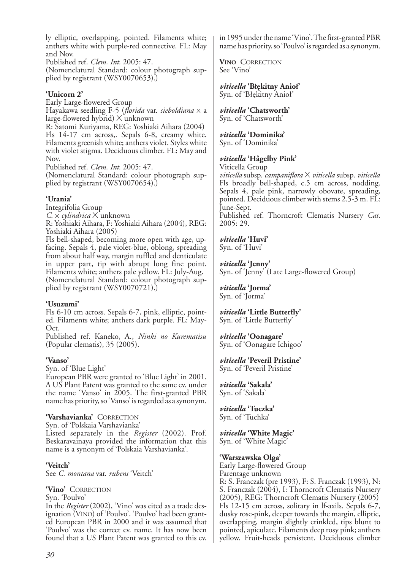ly elliptic, overlapping, pointed. Filaments white; anthers white with purple-red connective. FL: May and Nov.

Published ref. *Clem. Int.* 2005: 47.

(Nomenclatural Standard: colour photograph supplied by registrant (WSY0070653).)

#### **'Unicorn 2'**

Early Large-flowered Group Hayakawa seedling F-5 (*florida* var. *sieboldiana* x a large-flowered hybrid) X unknown

R: Satomi Kuriyama, REG: Yoshiaki Aihara (2004) Fls 14-17 cm across,. Sepals 6-8, creamy white. Filaments greenish white; anthers violet. Styles white with violet stigma. Deciduous climber. FL: May and Nov.

Published ref. *Clem. Int.* 2005: 47.

(Nomenclatural Standard: colour photograph supplied by registrant (WSY0070654).)

#### **'Urania'**

Integrifolia Group

*C.* x *cylindrica* X unknown

R: Yoshiaki Aihara, F: Yoshiaki Aihara (2004), REG: Yoshiaki Aihara (2005)

Fls bell-shaped, becoming more open with age, upfacing. Sepals 4, pale violet-blue, oblong, spreading from about half way, margin ruffled and denticulate in upper part, tip with abrupt long fine point. Filaments white; anthers pale yellow. FL: July-Aug. (Nomenclatural Standard: colour photograph supplied by registrant (WSY0070721).)

## **'Usuzumi'**

Fls 6-10 cm across. Sepals 6-7, pink, elliptic, pointed. Filaments white; anthers dark purple. FL: May-Oct.

Published ref. Kaneko, A., *Ninki no Kurematisu* (Popular clematis), 35 (2005).

## **'Vanso'**

Syn. of 'Blue Light'

European PBR were granted to 'Blue Light' in 2001. A US Plant Patent was granted to the same cv. under the name 'Vanso' in 2005. The first-granted PBR name has priority, so 'Vanso' is regarded as a synonym.

## **'Varshavianka'** CORRECTION

Syn. of 'Polskaia Varshavianka'

Listed separately in the *Register* (2002). Prof. Beskaravainaya provided the information that this name is a synonym of 'Polskaia Varshavianka'.

**'Veitch'** See *C. montana* var. *rubens* 'Veitch'

## **'Vino'** CORRECTION

Syn. 'Poulvo'

In the *Register* (2002), 'Vino' was cited as a trade designation (VINO) of 'Poulvo'. 'Poulvo' had been granted European PBR in 2000 and it was assumed that 'Poulvo' was the correct cv. name. It has now been found that a US Plant Patent was granted to this cv. in 1995 under the name 'Vino'. The first-granted PBR name has priority, so 'Poulvo' is regarded as a synonym.

**VINO** CORRECTION See 'Vino'

*viticella* **'Błękitny Anioł'** Syn. of 'Błękitny Anioł'

## *viticella* **'Chatsworth'**

Syn. of 'Chatsworth'

## *viticella* **'Dominika'**

Syn. of 'Dominika'

## *viticella* **'Hågelby Pink'**

Viticella Group

*viticella* subsp. *campaniflora* X *viticella* subsp. *viticella* Fls broadly bell-shaped, c.5 cm across, nodding. Sepals 4, pale pink, narrowly obovate, spreading, pointed. Deciduous climber with stems 2.5-3 m. FL: June-Sept. Published ref. Thorncroft Clematis Nursery *Cat.* 2005: 29.

*viticella* **'Huvi'** Syn. of 'Huvi'

*viticella* **'Jenny'** Syn. of 'Jenny' (Late Large-flowered Group)

*viticella* **'Jorma'** Syn. of 'Jorma'

*viticella* **'Little Butterfly'** Syn. of 'Little Butterfly'

*viticella* **'Oonagare'** Syn. of 'Oonagare Ichigoo'

*viticella* **'Peveril Pristine'** Syn. of 'Peveril Pristine'

*viticella* **'Sakala'** Syn. of 'Sakala'

*viticella* **'Tuczka'** Syn. of 'Tuchka'

*viticella* **'White Magic'** Syn. of 'White Magic'

## **'Warszawska Olga'**

Early Large-flowered Group Parentage unknown

R: S. Franczak (pre 1993), F: S. Franczak (1993), N: S. Franczak (2004), I: Thorncroft Clematis Nursery (2005), REG: Thorncroft Clematis Nursery (2005) Fls 12-15 cm across, solitary in lf-axils. Sepals 6-7, dusky rose-pink, deeper towards the margin, elliptic, overlapping, margin slightly crinkled, tips blunt to pointed, apiculate. Filaments deep rosy pink; anthers yellow. Fruit-heads persistent. Deciduous climber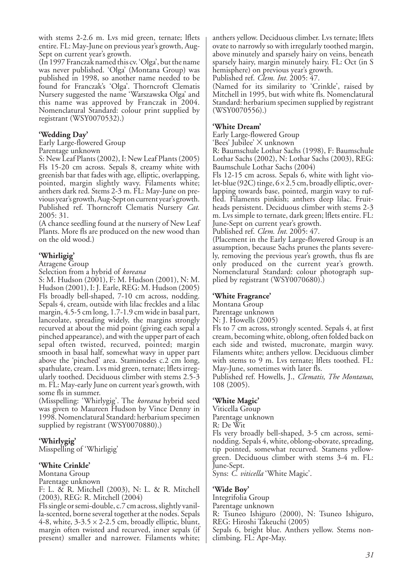with stems 2-2.6 m. Lvs mid green, ternate; lflets entire. FL: May-June on previous year's growth, Aug-Sept on current year's growth.

(In 1997 Franczak named this cv. 'Olga', but the name was never published. 'Olga' (Montana Group) was published in 1998, so another name needed to be found for Franczak's 'Olga'. Thorncroft Clematis Nursery suggested the name 'Warszawska Olga' and this name was approved by Franczak in 2004. Nomenclatural Standard: colour print supplied by registrant (WSY0070532).)

#### **'Wedding Day'**

Early Large-flowered Group Parentage unknown

S: New Leaf Plants (2002), I: New Leaf Plants (2005) Fls 15-20 cm across. Sepals 8, creamy white with greenish bar that fades with age, elliptic, overlapping, pointed, margin slightly wavy. Filaments white; anthers dark red. Stems 2-3 m. FL: May-June on previous year's growth, Aug-Sept on current year's growth. Published ref. Thorncroft Clematis Nursery *Cat.* 2005: 31.

(A chance seedling found at the nursery of New Leaf Plants. More fls are produced on the new wood than on the old wood.)

### **'Whirligig'**

Atragene Group

Selection from a hybrid of *koreana*

S: M. Hudson (2001), F: M. Hudson (2001), N: M. Hudson (2001), I: J. Earle, REG: M. Hudson (2005) Fls broadly bell-shaped, 7-10 cm across, nodding. Sepals 4, cream, outside with lilac freckles and a lilac margin, 4.5-5 cm long, 1.7-1.9 cm wide in basal part, lanceolate, spreading widely, the margins strongly recurved at about the mid point (giving each sepal a pinched appearance), and with the upper part of each sepal often twisted, recurved, pointed; margin smooth in basal half, somewhat wavy in upper part above the 'pinched' area. Staminodes c.2 cm long, spathulate, cream. Lvs mid green, ternate; lflets irregularly toothed. Deciduous climber with stems 2.5-3 m. FL: May-early June on current year's growth, with some fls in summer.

(Misspelling: 'Whirlygig'. The *koreana* hybrid seed was given to Maureen Hudson by Vince Denny in 1998. Nomenclatural Standard: herbarium specimen supplied by registrant (WSY0070880).)

#### **'Whirlygig'**

Misspelling of 'Whirligig'

#### **'White Crinkle'**

Montana Group

Parentage unknown

F: L. & R. Mitchell (2003), N: L. & R. Mitchell (2003), REG: R. Mitchell (2004)

Fls single or semi-double, c.7 cm across, slightly vanilla-scented, borne several together at the nodes. Sepals 4-8, white,  $3-3.5 \times 2-2.5$  cm, broadly elliptic, blunt, margin often twisted and recurved, inner sepals (if present) smaller and narrower. Filaments white; anthers yellow. Deciduous climber. Lvs ternate; lflets ovate to narrowly so with irregularly toothed margin, above minutely and sparsely hairy on veins, beneath sparsely hairy, margin minutely hairy. FL: Oct (in S hemisphere) on previous year's growth.

Published ref. *Clem. Int.* 2005: 47.

(Named for its similarity to 'Crinkle', raised by Mitchell in 1995, but with white fls. Nomenclatural Standard: herbarium specimen supplied by registrant (WSY0070556).)

#### **'White Dream'**

Early Large-flowered Group

'Bees' Jubilee' X unknown

R: Baumschule Lothar Sachs (1998), F: Baumschule Lothar Sachs (2002), N: Lothar Sachs (2003), REG: Baumschule Lothar Sachs (2004)

Fls 12-15 cm across. Sepals 6, white with light violet-blue (92C) tinge,  $6 \times 2.5$  cm, broadly elliptic, overlapping towards base, pointed, margin wavy to ruffled. Filaments pinkish; anthers deep lilac. Fruitheads persistent. Deciduous climber with stems 2-3 m. Lvs simple to ternate, dark green; lflets entire. FL: June-Sept on current year's growth.

Published ref. *Clem. Int.* 2005: 47.

(Placement in the Early Large-flowered Group is an assumption, because Sachs prunes the plants severely, removing the previous year's growth, thus fls are only produced on the current year's growth. Nomenclatural Standard: colour photograph supplied by registrant (WSY0070680).)

#### **'White Fragrance'**

Montana Group

Parentage unknown

N: J. Howells (2005)

Fls to 7 cm across, strongly scented. Sepals 4, at first cream, becoming white, oblong, often folded back on each side and twisted, mucronate, margin wavy. Filaments white; anthers yellow. Deciduous climber with stems to 9 m. Lvs ternate; lflets toothed. FL: May-June, sometimes with later fls.

Published ref. Howells, J., *Clematis, The Montanas*, 108 (2005).

#### **'White Magic'**

Viticella Group Parentage unknown R: De Wit

Fls very broadly bell-shaped, 3-5 cm across, seminodding. Sepals 4, white, oblong-obovate, spreading, tip pointed, somewhat recurved. Stamens yellowgreen. Deciduous climber with stems 3-4 m. FL: June-Sept.

Syns: *C. viticella* 'White Magic'.

climbing. FL: Apr-May.

#### **'Wide Boy'**

Integrifolia Group Parentage unknown R: Tsuneo Ishiguro (2000), N: Tsuneo Ishiguro, REG: Hiroshi Takeuchi (2005) Sepals 6, bright blue. Anthers yellow. Stems non-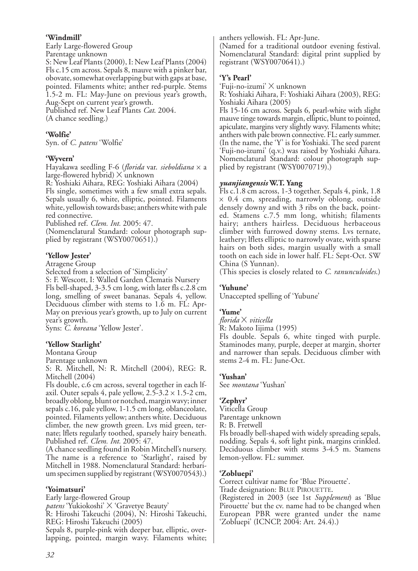#### **'Windmill'**

Early Large-flowered Group

Parentage unknown

S: New Leaf Plants (2000), I: New Leaf Plants (2004) Fls c.15 cm across. Sepals 8, mauve with a pinker bar, obovate, somewhat overlapping but with gaps at base, pointed. Filaments white; anther red-purple. Stems 1.5-2 m. FL: May-June on previous year's growth, Aug-Sept on current year's growth. Published ref. New Leaf Plants *Cat*. 2004.

(A chance seedling.)

## **'Wolfie'**

Syn. of *C. patens* 'Wolfie'

## **'Wyvern'**

Hayakawa seedling F-6 (*florida* var. *sieboldiana* x a large-flowered hybrid) X unknown

R: Yoshiaki Aihara, REG: Yoshiaki Aihara (2004) Fls single, sometimes with a few small extra sepals. Sepals usually 6, white, elliptic, pointed. Filaments white, yellowish towards base; anthers white with pale red connective.

Published ref. *Clem. Int.* 2005: 47.

(Nomenclatural Standard: colour photograph supplied by registrant (WSY0070651).)

## **'Yellow Jester'**

Atragene Group

Selected from a selection of 'Simplicity'

S: F. Wescott, I: Walled Garden Clematis Nursery Fls bell-shaped, 3-3.5 cm long, with later fls c.2.8 cm long, smelling of sweet bananas. Sepals 4, yellow. Deciduous climber with stems to 1.6 m. FL: Apr-May on previous year's growth, up to July on current year's growth.

Syns: *C. koreana* 'Yellow Jester'.

## **'Yellow Starlight'**

Montana Group

Parentage unknown

S: R. Mitchell, N: R. Mitchell (2004), REG: R. Mitchell (2004)

Fls double, c.6 cm across, several together in each lfaxil. Outer sepals 4, pale yellow,  $2.5-3.2 \times 1.5-2$  cm, broadly oblong, blunt or notched, margin wavy; inner sepals c.16, pale yellow, 1-1.5 cm long, oblanceolate, pointed. Filaments yellow; anthers white. Deciduous climber, the new growth green. Lvs mid green, ternate; lflets regularly toothed, sparsely hairy beneath. Published ref. *Clem. Int.* 2005: 47.

(A chance seedling found in Robin Mitchell's nursery. The name is a reference to 'Starlight', raised by Mitchell in 1988. Nomenclatural Standard: herbarium specimen supplied by registrant (WSY0070543).)

## **'Yoimatsuri'**

Early large-flowered Group *patens* 'Yukiokoshi' X 'Gravetye Beauty' R: Hiroshi Takeuchi (2004), N: Hiroshi Takeuchi, REG: Hiroshi Takeuchi (2005)

Sepals 8, purple-pink with deeper bar, elliptic, overlapping, pointed, margin wavy. Filaments white; anthers yellowish. FL: Apr-June.

(Named for a traditional outdoor evening festival. Nomenclatural Standard: digital print supplied by registrant (WSY0070641).)

## **'Y's Pearl'**

'Fuji-no-izumi' X unknown

R: Yoshiaki Aihara, F: Yoshiaki Aihara (2003), REG: Yoshiaki Aihara (2005)

Fls 15-16 cm across. Sepals 6, pearl-white with slight mauve tinge towards margin, elliptic, blunt to pointed, apiculate, margins very slightly wavy. Filaments white; anthers with pale brown connective. FL: early summer. (In the name, the 'Y' is for Yoshiaki. The seed parent 'Fuji-no-izumi' (q.v.) was raised by Yoshiaki Aihara. Nomenclatural Standard: colour photograph supplied by registrant (WSY0070719).)

## *yuanjiangensis* **W.T. Yang**

Fls c.1.8 cm across, 1-3 together. Sepals 4, pink, 1.8 x 0.4 cm, spreading, narrowly oblong, outside densely downy and with 3 ribs on the back, pointed. Stamens c.7.5 mm long, whitish; filaments hairy; anthers hairless. Deciduous herbaceous climber with furrowed downy stems. Lvs ternate, leathery; lflets elliptic to narrowly ovate, with sparse hairs on both sides, margin usually with a small tooth on each side in lower half. FL: Sept-Oct. SW China (S Yunnan).

(This species is closely related to *C. ranunculoides*.)

## **'Yuhune'**

Unaccepted spelling of 'Yubune'

## **'Yume'**

*florida* X *viticella*

R: Makoto Iijima (1995) Fls double. Sepals 6, white tinged with purple. Staminodes many, purple, deeper at margin, shorter and narrower than sepals. Deciduous climber with stems 2-4 m. FL: June-Oct.

## **'Yushan'**

See *montana* 'Yushan'

## **'Zephyr'**

Viticella Group Parentage unknown R: B. Fretwell Fls broadly bell-shaped with widely spreading sepals, nodding. Sepals 4, soft light pink, margins crinkled. Deciduous climber with stems 3-4.5 m. Stamens lemon-yellow. FL: summer.

## **'Zobluepi'**

Correct cultivar name for 'Blue Pirouette'.

Trade designation: BLUE PIROUETTE.

(Registered in 2003 (see 1st *Supplement*) as 'Blue Pirouette' but the cv. name had to be changed when European PBR were granted under the name 'Zobluepi' (ICNCP, 2004: Art. 24.4).)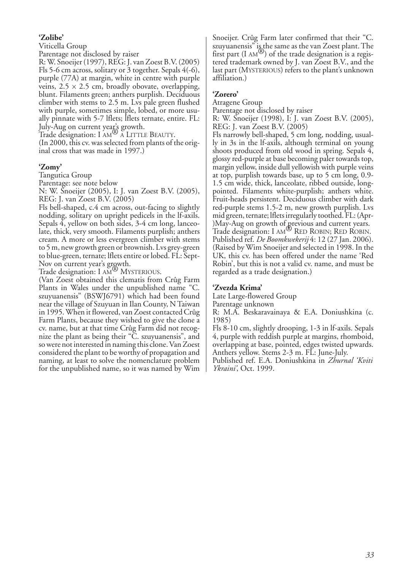## **'Zolibe'**

Viticella Group

Parentage not disclosed by raiser

R: W. Snoeijer (1997), REG: J. van Zoest B.V. (2005) Fls 5-6 cm across, solitary or 3 together. Sepals 4(-6), purple (77A) at margin, white in centre with purple veins,  $2.5 \times 2.5$  cm, broadly obovate, overlapping, blunt. Filaments green; anthers purplish. Deciduous climber with stems to 2.5 m. Lys pale green flushed with purple, sometimes simple, lobed, or more usually pinnate with 5-7 lflets; lflets ternate, entire. FL:

July-Aug on current year's growth.<br>Trade designation: I AM<sup>®</sup> A LITTLE BEAUTY.

(In 2000, this cv. was selected from plants of the original cross that was made in 1997.)

## **'Zomy'**

Tangutica Group

Parentage: see note below

N: W. Snoeijer (2005), I: J. van Zoest B.V. (2005), REG: J. van Zoest B.V. (2005)

Fls bell-shaped, c.4 cm across, out-facing to slightly nodding, solitary on upright pedicels in the lf-axils. Sepals 4, yellow on both sides, 3-4 cm long, lanceolate, thick, very smooth. Filaments purplish; anthers cream. A more or less evergreen climber with stems to 5 m, new growth green or brownish. Lvs grey-green to blue-green, ternate; lflets entire or lobed. FL: Sept-

Nov on current year's growth.<br>Trade designation: I AM® MYSTERIOUS.<br>(Van Zoest obtained this clematis from Crûg Farm Plants in Wales under the unpublished name "C. szuyuanensis" (BSWJ6791) which had been found near the village of Szuyuan in Ilan County, N Taiwan in 1995. When it flowered, van Zoest contacted Crûg Farm Plants, because they wished to give the clone a cv. name, but at that time Crûg Farm did not recognize the plant as being their "C. szuyuanensis", and so were not interested in naming this clone. Van Zoest considered the plant to be worthy of propagation and naming, at least to solve the nomenclature problem for the unpublished name, so it was named by Wim Snoeijer. Crûg Farm later confirmed that their "C. szuyuanensis" is the same as the van Zoest plant. The first part (I AM®) of the trade designation is a registered trademark owned by J. van Zoest B.V., and the last part (MYSTERIOUS) refers to the plant's unknown affiliation.)

## **'Zorero'**

Atragene Group

Parentage not disclosed by raiser

R: W. Snoeijer (1998), I: J. van Zoest B.V. (2005), REG: J. van Zoest B.V. (2005)

Fls narrowly bell-shaped, 5 cm long, nodding, usually in 3s in the lf-axils, although terminal on young shoots produced from old wood in spring. Sepals 4, glossy red-purple at base becoming paler towards top, margin yellow, inside dull yellowish with purple veins at top, purplish towards base, up to 5 cm long, 0.9- 1.5 cm wide, thick, lanceolate, ribbed outside, longpointed. Filaments white-purplish; anthers white. Fruit-heads persistent. Deciduous climber with dark red-purple stems 1.5-2 m, new growth purplish. Lvs mid green, ternate; lflets irregularly toothed. FL: (Apr- )May-Aug on growth of previous and current years. Trade designation: I AM® RED ROBIN; RED ROBIN. Published ref. *De Boomkwekerij* 4: 12 (27 Jan. 2006). (Raised by Wim Snoeijer and selected in 1998. In the UK, this cv. has been offered under the name 'Red Robin', but this is not a valid cv. name, and must be regarded as a trade designation.)

#### **'Zvezda Krima'**

Late Large-flowered Group

Parentage unknown

R: M.A. Beskaravainaya & E.A. Doniushkina (c. 1985)

Fls 8-10 cm, slightly drooping, 1-3 in lf-axils. Sepals 4, purple with reddish purple at margins, rhomboid, overlapping at base, pointed, edges twisted upwards. Anthers yellow. Stems 2-3 m. FL: June-July.

Published ref. E.A. Doniushkina in *Zhurnal 'Kviti Ykraini'*, Oct. 1999.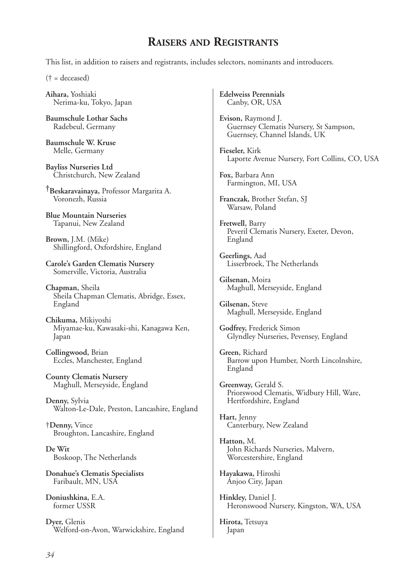## **RAISERS AND REGISTRANTS**

This list, in addition to raisers and registrants, includes selectors, nominants and introducers.

(† = deceased)

**Aihara,** Yoshiaki Nerima-ku, Tokyo, Japan

**Baumschule Lothar Sachs** Radebeul, Germany

**Baumschule W. Kruse** Melle, Germany

**Bayliss Nurseries Ltd** Christchurch, New Zealand

**†Beskaravainaya,** Professor Margarita A. Voronezh, Russia

**Blue Mountain Nurseries** Tapanui, New Zealand

**Brown,** J.M. (Mike) Shillingford, Oxfordshire, England

**Carole's Garden Clematis Nursery** Somerville, Victoria, Australia

**Chapman,** Sheila Sheila Chapman Clematis, Abridge, Essex, England

**Chikuma,** Mikiyoshi Miyamae-ku, Kawasaki-shi, Kanagawa Ken, Japan

**Collingwood,** Brian Eccles, Manchester, England

**County Clematis Nursery** Maghull, Merseyside, England

**Denny,** Sylvia Walton-Le-Dale, Preston, Lancashire, England

†**Denny,** Vince Broughton, Lancashire, England

**De Wit** Boskoop, The Netherlands

**Donahue's Clematis Specialists** Faribault, MN, USA

**Doniushkina,** E.A. former USSR

**Dyer,** Glenis Welford-on-Avon, Warwickshire, England **Edelweiss Perennials** Canby, OR, USA

**Evison,** Raymond J. Guernsey Clematis Nursery, St Sampson, Guernsey, Channel Islands, UK

**Fieseler,** Kirk Laporte Avenue Nursery, Fort Collins, CO, USA

**Fox,** Barbara Ann Farmington, MI, USA

**Franczak,** Brother Stefan, SJ Warsaw, Poland

**Fretwell,** Barry Peveril Clematis Nursery, Exeter, Devon, England

**Geerlings,** Aad Lisserbroek, The Netherlands

**Gilsenan,** Moira Maghull, Merseyside, England

**Gilsenan,** Steve Maghull, Merseyside, England

**Godfrey,** Frederick Simon Glyndley Nurseries, Pevensey, England

**Green,** Richard Barrow upon Humber, North Lincolnshire, England

**Greenway,** Gerald S. Priorswood Clematis, Widbury Hill, Ware, Hertfordshire, England

**Hart,** Jenny Canterbury, New Zealand

**Hatton,** M. John Richards Nurseries, Malvern, Worcestershire, England

**Hayakawa,** Hiroshi Anjoo City, Japan

**Hinkley,** Daniel J. Heronswood Nursery, Kingston, WA, USA

**Hirota,** Tetsuya Japan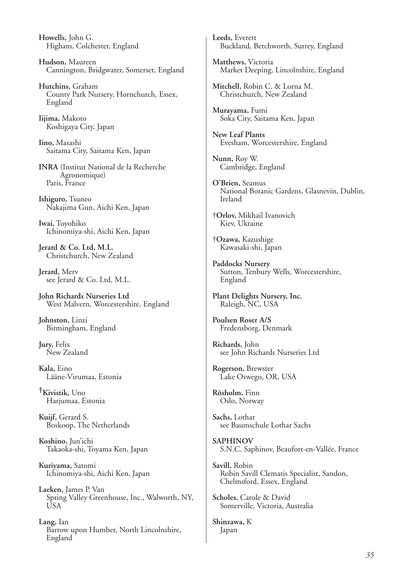**Howells,** John G. Higham, Colchester, England

**Hudson,** Maureen Cannington, Bridgwater, Somerset, England

**Hutchins,** Graham County Park Nursery, Hornchurch, Essex, England

**Iijima,** Makoto Koshigaya City, Japan

**Iino,** Masashi Saitama City, Saitama Ken, Japan

**INRA** (Institut National de la Recherche Agronomique) Paris, France

**Ishiguro,** Tsuneo Nakajima Gun, Aichi Ken, Japan

**Iwai,** Toyohiko Ichinomiya-shi, Aichi Ken, Japan

**Jerard & Co. Ltd, M.L.**  Christchurch, New Zealand

**Jerard,** Merv see Jerard & Co. Ltd, M.L.

**John Richards Nurseries Ltd** West Malvern, Worcestershire, England

**Johnston,** Linzi Birmingham, England

**Jury,** Felix New Zealand

**Kala,** Eino Lääne-Virumaa, Estonia

**†Kivistik,** Uno Harjumaa, Estonia

**Kuijf,** Gerard S. Boskoop, The Netherlands

**Koshino,** Jun'ichi Takaoka-shi, Toyama Ken, Japan

**Kuriyama,** Satomi Ichinomiya-shi, Aichi Ken, Japan

**Laeken,** James P. Van Spring Valley Greenhouse, Inc., Walworth, NY, USA

**Lang,** Ian Barrow upon Humber, North Lincolnshire, England

**Leeds,** Everett Buckland, Betchworth, Surrey, England

**Matthews,** Victoria Market Deeping, Lincolnshire, England

**Mitchell,** Robin C. & Lorna M. Christchurch, New Zealand

**Murayama,** Fumi Soka City, Saitama Ken, Japan

**New Leaf Plants** Evesham, Worcestershire, England

**Nunn,** Roy W. Cambridge, England

**O'Brien,** Seamus National Botanic Gardens, Glasnevin, Dublin, Ireland

†**Orlov,** Mikhail Ivanovich Kiev, Ukraine

†**Ozawa,** Kazushige Kawasaki-shi, Japan

**Paddocks Nursery** Sutton, Tenbury Wells, Worcestershire, England

**Plant Delights Nursery, Inc.** Raleigh, NC, USA

**Poulsen Roser A/S** Fredensborg, Denmark

**Richards,** John see John Richards Nurseries Ltd

**Rogerson,** Brewster Lake Oswego, OR, USA

**Rösholm,** Finn Oslo, Norway

**Sachs,** Lothar see Baumschule Lothar Sachs

**SAPHINOV** S.N.C. Saphinov, Beaufort-en-Vallée, France

**Savill,** Robin Robin Savill Clematis Specialist, Sandon, Chelmsford, Essex, England

**Scholes,** Carole & David Somerville, Victoria, Australia

**Shinzawa,** K Japan